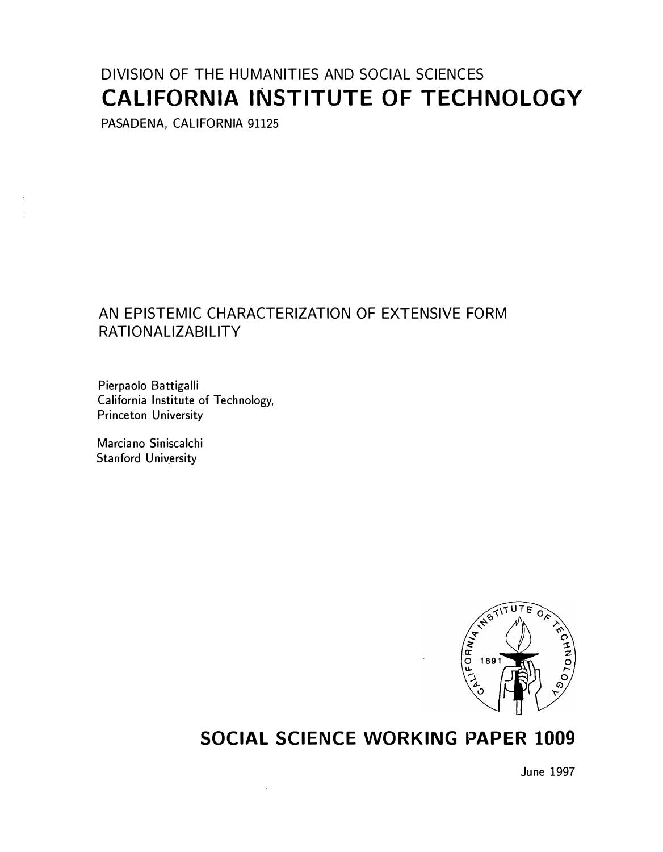# DIVISION OF THE HUMANITIES AND SOCIAL SCIENCES CALIFORNIA INSTITUTE OF TECHNOLOGY

PASADENA, CALIFORNIA 91125

# AN EPISTEMIC CHARACTERIZATION OF EXTENSIVE FORM RATIONALIZABILITY

Pierpaolo Battigalli California Institute of Technology, Princeton University

Marciano Siniscalchi Stanford University



# SOCIAL SCIENCE WORKING PAPER 1009

June 1997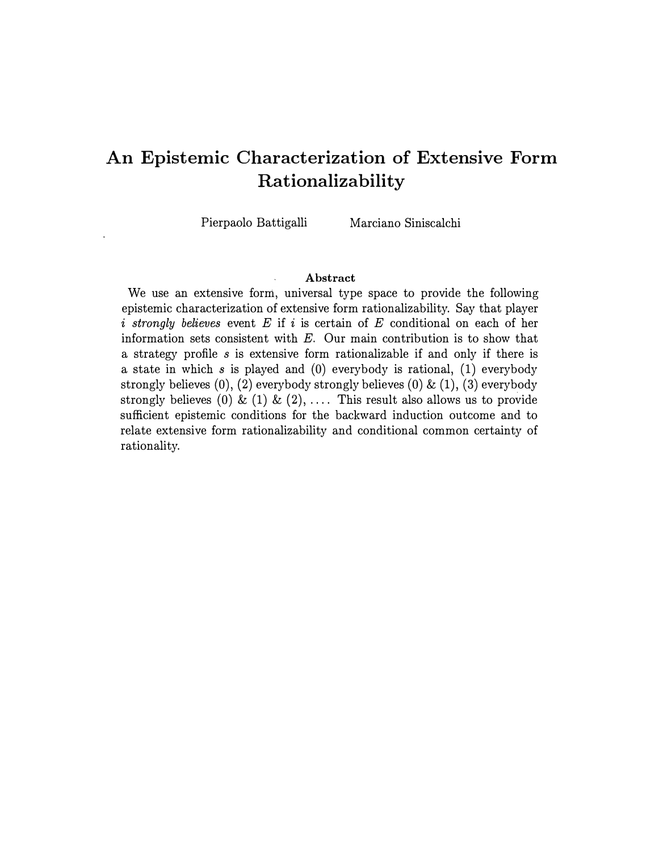# An Epistemic Characterization of Extensive Form Rationalizability

Pierpaolo Battigalli Marciano Siniscalchi

#### Abstract

We use an extensive form, universal type space to provide the following epistemic characterization of extensive form rationalizability. Say that player i strongly believes event  $E$  if i is certain of  $E$  conditional on each of her information sets consistent with E. Our main contribution is to show that a strategy profile s is extensive form rationalizable if and only if there is a state in which s is played and  $(0)$  everybody is rational,  $(1)$  everybody strongly believes  $(0)$ ,  $(2)$  everybody strongly believes  $(0)$  &  $(1)$ ,  $(3)$  everybody strongly believes (0) & (1) & (2), .... This result also allows us to provide sufficient epistemic conditions for the backward induction outcome and to relate extensive form rationalizability and conditional common certainty of rationality.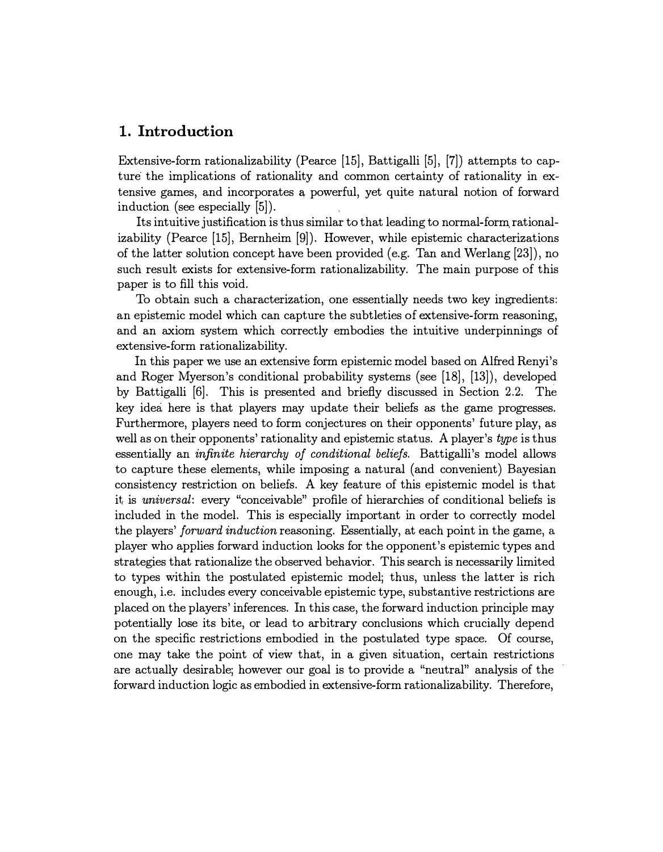## 1. Introduction

Extensive-form rationalizability (Pearce [15], Battigalli [5], [7]) attempts to capture the implications of rationality and common certainty of rationality in extensive games, and incorporates a, powerful, yet quite natural notion of forward induction (see especially [5]).

Its intuitive justification is thus similar to that leading to normal-form. rationalizability (Pearce [15], Bernheim [9]). However, while epistemic characterizations of the latter solution concept have been provided (e.g. Tan and Werlang [23]), no such result exists for extensive-form rationalizability. The main purpose of this paper is to fill this void.

To obtain such a characterization, one essentially needs two key ingredients: an epistemic model which can capture the subtleties of extensive-form reasoning, and an axiom system which correctly embodies the intuitive underpinnings of extensive-form rationalizability.

In this paper we use an extensive form epistemic model based on Alfred Renyi's and Roger Myerson's conditional probability systems (see [18], [13]), developed by Battigalli [6]. This is presented and briefly discussed in Section 2.2. The key idea here is that players may update their beliefs as the game progresses. Furthermore, players need to form conjectures on their opponents' future play, as well as on their opponents' rationality and epistemic status. A player's type is thus essentially an infinite hierarchy of conditional beliefs. Battigalli's model allows to capture these elements, while imposing a natural (and convenient) Bayesian consistency restriction on beliefs. A key feature of this epistemic model is that it is universal: every "conceivable" profile of hierarchies of conditional beliefs is included in the model. This is especially important in order to correctly model the players' forward induction reasoning. Essentially, at each point in the game, a player who applies forward induction looks for the opponent's epistemic types and strategies that rationalize the observed behavior. This search is necessarily limited to types within the postulated epistemic model; thus, unless the latter is rich enough, i.e. includes every conceivable epistemic type, substantive restrictions are placed on the players' inferences. In this case, the forward induction principle may potentially lose its bite, or lead to arbitrary conclusions which crucially depend on the specific restrictions embodied in the postulated type space. Of course, one may take the point of view that, in a given situation, certain restrictions are actually desirable; however our goal is to provide a "neutral" analysis of the forward induction logic as embodied in extensive-form rationalizability. Therefore,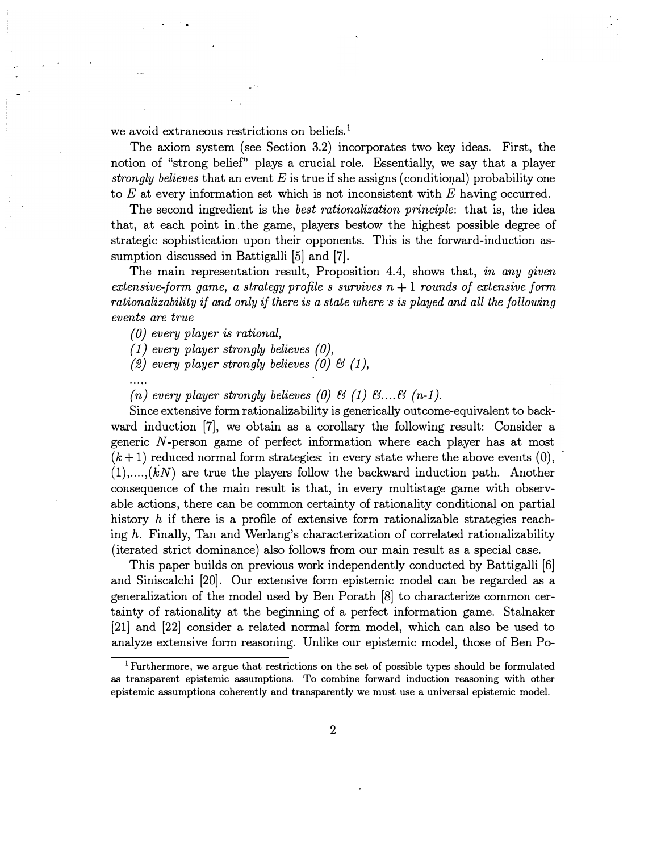we avoid extraneous restrictions on beliefs.<sup>1</sup>

The axiom system (see Section 3.2) incorporates two key ideas. First, the notion of "strong belief' plays a crucial role. Essentially, we say that a player strongly believes that an event E is true if she assigns (conditional) probability one to  $E$  at every information set which is not inconsistent with  $E$  having occurred.

The second ingredient is the best rationalization principle: that is, the idea that, at each point in . the game, players bestow the highest possible degree of strategic sophistication upon their opponents. This is the forward-induction assumption discussed in Battigalli [5] and [7].

The main representation result, Proposition 4.4, shows that, in any given extensive-form game, a strategy profile s survives  $n + 1$  rounds of extensive form rationalizability if and only if there is a state where s is played and all the following events are true

(0) every player is rational,

 $(1)$  every player strongly believes  $(0)$ ,

(2) every player strongly believes (0)  $\mathcal{B}$  (1),

(n) every player strongly believes (0) & (1)  $\mathcal{E}$ ...  $\mathcal{E}$  (n-1).

Since extensive form rationalizability is generically outcome-equivalent to backward induction [7], we obtain as a corollary the following result: Consider a generic N-person game of perfect information where each player has at most  $(k+1)$  reduced normal form strategies: in every state where the above events  $(0)$ ,  $(1), \ldots, (k)$  are true the players follow the backward induction path. Another consequence of the main result is that, in every multistage game with observable actions, there can be common certainty of rationality conditional on partial history h if there is a profile of extensive form rationalizable strategies reaching h. Finally, Tan and Werlang's characterization of correlated rationalizability (iterated strict dominance) also follows from our main result as a special case.

This paper builds on previous work independently conducted by Battigalli [6] and Siniscalchi [20]. Our extensive form epistemic model can be regarded as a generalization of the model used by Ben Porath [8] to characterize common certainty of rationality at the beginning of a perfect information game. Stalnaker [21] and [22] consider a related normal form model, which can also be used to analyze extensive form reasoning. Unlike our epistemic model, those of Ben Po-

 $\rm{L}$  Furthermore, we argue that restrictions on the set of possible types should be formulated as transparent epistemic assumptions. To combine forward induction reasoning with other epistemic assumptions coherently and transparently we must use a universal epistemic model.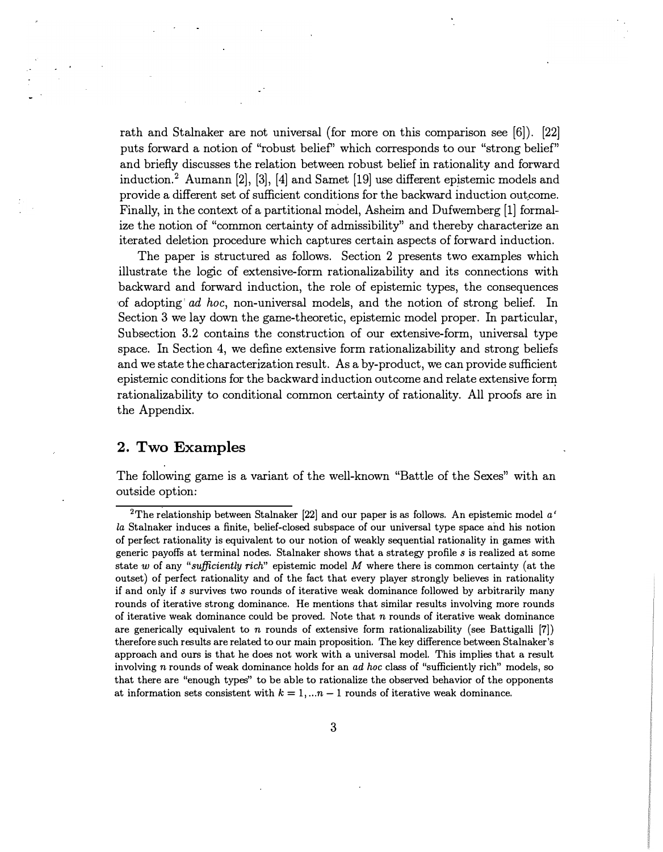rath and Stalnaker are not universal (for more on this comparison see [6]). [22) puts forward a notion of "robust belief" which corresponds to our "strong belief" and briefly discusses the relation between robust belief in rationality and forward induction.2 Aumann [2], [3], [4] and Samet [19] use different epistemic models and provide a different set of sufficient conditions for the backward induction outcome. Finally, in the context of a partitional model, Asheim and Dufwemberg [1] formalize the notion of "common certainty of admissibility" and thereby characterize an iterated deletion procedure which captures certain aspects of forward induction.

The paper is structured as follows. Section 2 presents two examples which illustrate the logic of extensive-form rationalizability and its connections with backward and forward induction, the role of epistemic types, the consequences of adopting ad hoc, non-universal models, and the notion of strong belief. In Section 3 we lay down the game-theoretic, epistemic model proper. In particular, Subsection 3.2 contains the construction of our extensive-form, universal type space. In Section 4, we define extensive form rationalizability and strong beliefs and we state the characterization result. As a by-product, we can provide sufficient epistemic conditions for the backward induction outcome and relate extensive form rationalizability to conditional common certainty of rationality. All proofs are in the Appendix.

## 2. Two Examples

The following game is a variant of the well-known "Battle of the Sexes" with an outside option:

<sup>&</sup>lt;sup>2</sup>The relationship between Stalnaker [22] and our paper is as follows. An epistemic model  $a'$ la Stalnaker induces a finite, belief-closed subspace of our universal type space and his notion of perfect rationality is equivalent to our notion of weakly sequential rationality in games with generic payoffs at terminal nodes. Stalnaker shows that a strategy profile s is realized at some state w of any "sufficiently rich" epistemic model M where there is common certainty (at the outset) of perfect rationality and of the fact that every player strongly believes in rationality if and only if s survives two rounds of iterative weak dominance followed by arbitrarily many rounds of iterative strong dominance. He mentions that similar results involving more rounds of iterative weak dominance could be proved. Note that n rounds of iterative weak dominance are generically equivalent to n rounds of extensive form rationalizability (see Battigalli [7]) therefore such results are related to our main proposition. The key difference between Stalnaker's approach and ours is that he does not work with a universal model. This implies that a result involving n rounds of weak dominance holds for an ad hoc class of "sufficiently rich" models, so that there are "enough types" to be able to rationalize the observed behavior of the opponents at information sets consistent with  $k = 1, ...n - 1$  rounds of iterative weak dominance.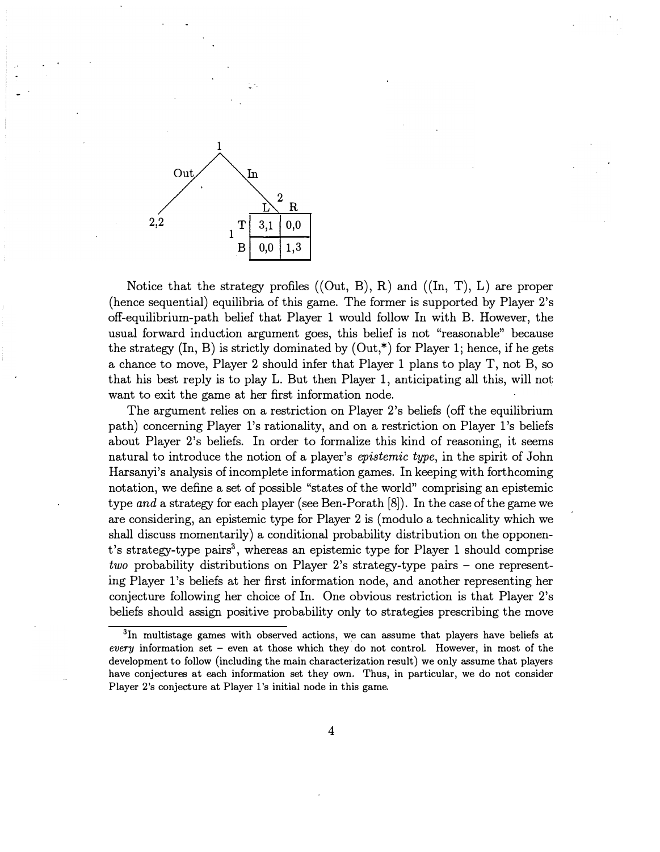

Notice that the strategy profiles  $((Out, B), R)$  and  $((In, T), L)$  are proper (hence sequential) equilibria of this game. The former is supported by Player 2's off-equilibrium-path belief that Player 1 would follow In with B. However, the usual forward induction argument goes, this belief is not "reasonable" because the strategy  $(In, B)$  is strictly dominated by  $(Out, \dagger)$  for Player 1; hence, if he gets a chance to move, Player 2 should infer that Player 1 plans to play T, not B, so that his best reply is to play L. But then Player 1, anticipating all this, will not want to exit the game at her first information node.

The argument relies on a restriction on Player 2's beliefs (off the equilibrium path) concerning Player l's rationality, and on a restriction on Player l's beliefs about Player 2's beliefs. In order to formalize this kind of reasoning, it seems natural to introduce the notion of a player's epistemic type, in the spirit of John Harsanyi's analysis of incomplete information games. In keeping with forthcoming notation, we define a set of possible "states of the world" comprising an epistemic type and a strategy for each player (see Ben-Porath [8]). In the case of the game we are considering, an epistemic type for Player 2 is (modulo a technicality which we shall discuss momentarily) a conditional probability distribution on the opponent's strategy-type pairs<sup>3</sup>, whereas an epistemic type for Player 1 should comprise two probability distributions on Player 2's strategy-type pairs - one representing Player l's beliefs at her first information node, and another representing her conjecture following her choice of In. One obvious restriction is that Player 2's beliefs should assign positive probability only to strategies prescribing the move

<sup>&</sup>lt;sup>3</sup>In multistage games with observed actions, we can assume that players have beliefs at every information set – even at those which they do not control. However, in most of the development to follow (including the main characterization result) we only assume that players have conjectures at each information set they own. Thus, in particular, we do not consider Player 2's conjecture at Player l's initial node in this game.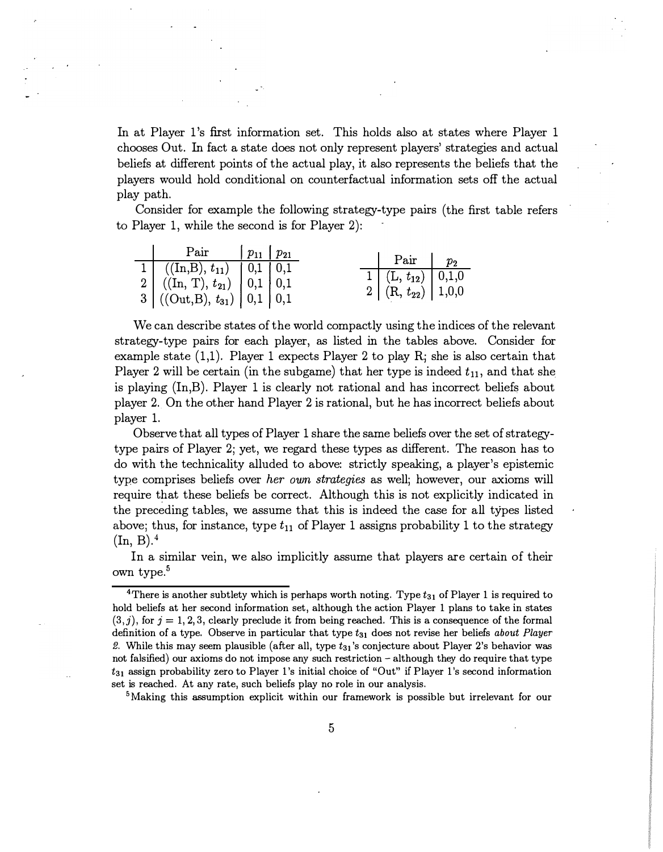In at Player l's first information set. This holds also at states where Player 1 chooses Out. In fact a state does not only represent players' strategies and actual beliefs at different points of the actual play, it also represents the beliefs that the players would hold conditional on counterfactual information sets off the actual play path.

Consider for example the following strategy-type pairs (the first table refers to Player 1, while the second is for Player 2):

| Pair $\mid p_{11} \mid p_{21} \mid p_{31} \mid p_{42} \mid p_{53} \mid p_{63} \mid p_{74} \mid p_{84} \mid p_{95} \mid p_{96} \mid p_{97} \mid p_{98} \mid p_{99} \mid p_{99} \mid p_{99} \mid p_{99} \mid p_{99} \mid p_{99} \mid p_{99} \mid p_{99} \mid p_{99} \mid p_{99} \mid p_{99} \mid p_{99} \mid p_{99} \mid p_{99} \mid p_{99} \mid p_{99} \mid p_{99} \mid p_{99} \mid p_{9$ |  | $\mid$ Pair $\mid$ $p_2$                                                                                                      |  |
|------------------------------------------------------------------------------------------------------------------------------------------------------------------------------------------------------------------------------------------------------------------------------------------------------------------------------------------------------------------------------------------|--|-------------------------------------------------------------------------------------------------------------------------------|--|
|                                                                                                                                                                                                                                                                                                                                                                                          |  |                                                                                                                               |  |
|                                                                                                                                                                                                                                                                                                                                                                                          |  | $\begin{array}{ c c c } \hline 1 & {\rm (L,}\; t_{12}) & 0,1,0 \ \hline 2 & {\rm (R,}\; t_{22}) & 1,0,0 \ \hline \end{array}$ |  |
| $\begin{array}{ c c c c } \hline 1 & ((\mathrm{In},\mathrm{B}),\,t_{11}) & 0,1 & 0,1 \ \hline 2 & ((\mathrm{In},\,\mathrm{T}),\,t_{21}) & 0,1 & 0,1 \ \hline 3 & ((\mathrm{Out},\mathrm{B}),\,t_{31}) & 0,1 & 0,1 \ \hline \end{array}$                                                                                                                                                  |  |                                                                                                                               |  |

We can describe states of the world compactly using the indices of the relevant strategy-type pairs for each player, as listed in the tables above. Consider for example state (1,1). Player 1 expects Player 2 to play R; she is also certain that Player 2 will be certain (in the subgame) that her type is indeed  $t_{11}$ , and that she is playing (In,B). Player 1 is clearly not rational and has incorrect beliefs about player 2. On the other hand Player 2 is rational, but he has incorrect beliefs about player 1.

Observe that all types of Player 1 share the same beliefs over the set of strategytype pairs of Player 2; yet, we regard these types as different. The reason has to do with the technicality alluded to above: strictly speaking, a player's epistemic type comprises beliefs over her own strategies as well; however, our axioms will require that these beliefs be correct. Although this is not explicitly indicated in the preceding tables, we assume that this is indeed the case for all types listed above; thus, for instance, type  $t_{11}$  of Player 1 assigns probability 1 to the strategy  $(In, B).<sup>4</sup>$ 

In a similar vein, we also implicitly assume that players are certain of their own type.<sup>5</sup>

<sup>5</sup>Making this assumption explicit within our framework is possible but irrelevant for our

<sup>&</sup>lt;sup>4</sup>There is another subtlety which is perhaps worth noting. Type  $t_{31}$  of Player 1 is required to hold beliefs at her second information set, although the action Player 1 plans to take in states  $(3,j)$ , for  $j = 1, 2, 3$ , clearly preclude it from being reached. This is a consequence of the formal definition of a type. Observe in particular that type  $t_{31}$  does not revise her beliefs about Player 2. While this may seem plausible (after all, type  $t_{31}$ 's conjecture about Player 2's behavior was not falsified) our axioms do not impose any such restriction - although they do require that type  $t_{31}$  assign probability zero to Player 1's initial choice of "Out" if Player 1's second information set is reached. At any rate, such beliefs play no role in our analysis.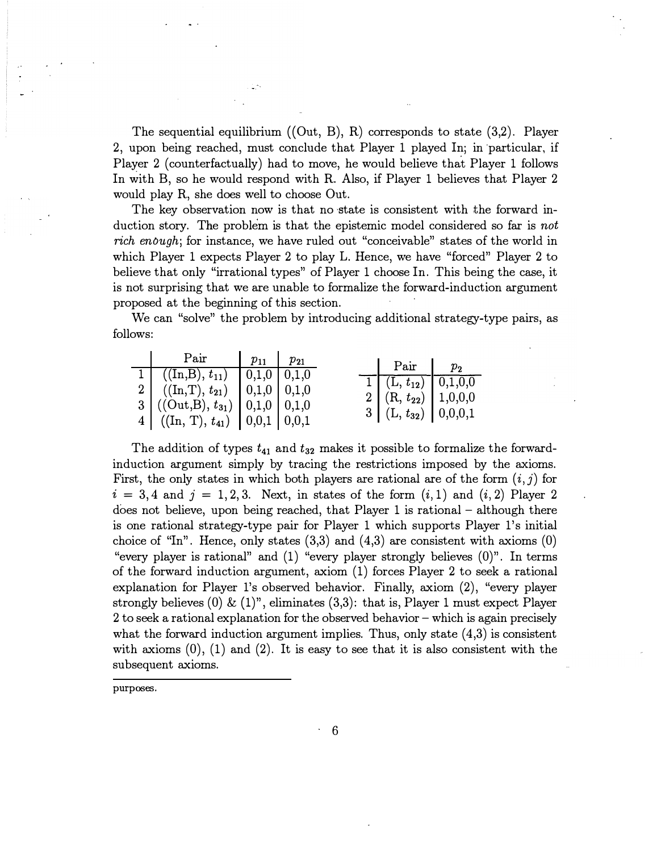The sequential equilibrium  $((Out, B), R)$  corresponds to state  $(3,2)$ . Player 2, upon being reached, must conclude that Player 1 played In; in particular, if Player 2 ( counterfactually) had to move, he would believe that Player 1 follows In with B, so he would respond with R. Also, if Player 1 believes that Player 2 would play R, she does well to choose Out.

The key observation now is that no state is consistent with the forward induction story. The problem is that the epistemic model considered so far is not rich enough; for instance, we have ruled out "conceivable" states of the world in which Player 1 expects Player 2 to play L. Hence, we have "forced" Player 2 to believe that only "irrational types" of Player 1 choose In. This being the case, it is not surprising that we are unable to formalize the forward-induction argument proposed at the beginning of this section.

We can "solve" the problem by introducing additional strategy-type pairs, as follows:

| Pair $\vert p_{11} \vert p_{21} \vert$                                                                                                                                                         |  |                                                                                                                                                                                                  |  |
|------------------------------------------------------------------------------------------------------------------------------------------------------------------------------------------------|--|--------------------------------------------------------------------------------------------------------------------------------------------------------------------------------------------------|--|
| $1 \mid ((In,B), t_{11}) \mid 0,1,0 \mid 0,1,0$<br>2 ((In,T), $t_{21}$ ) $  0,1,0   0,1,0$<br>3 ((Out,B), $t_{31}$ )   0,1,0   0,1,0<br>4 ((In, T), $t_{41}$ ) $\vert 0,0,1 \vert 0,0,1 \vert$ |  | $\begin{array}{ c c c c } \hline \ \text{Pair} & \text{$p_2$} \ \hline \end{array}$<br>$\boxed{1}$ $(L, t_{12})$ $\boxed{0,1,0,0}$<br>2 (R, $t_{22}$ ) 1,0,0,0<br>3 $(L, t_{32})$ $(0, 0, 0, 1)$ |  |

The addition of types  $t_{41}$  and  $t_{32}$  makes it possible to formalize the forwardinduction argument simply by tracing the restrictions imposed by the axioms. First, the only states in which both players are rational are of the form  $(i, j)$  for  $i = 3, 4$  and  $j = 1, 2, 3$ . Next, in states of the form  $(i, 1)$  and  $(i, 2)$  Player 2 does not believe, upon being reached, that Player 1 is rational – although there is one rational strategy-type pair for Player 1 which supports Player l's initial choice of "In". Hence, only states  $(3,3)$  and  $(4,3)$  are consistent with axioms  $(0)$ "every player is rational" and (1) "every player strongly believes (0)". In terms of the forward induction argument, axiom (1) forces Player 2 to seek a rational explanation for Player l's observed behavior. Finally, axiom (2), "every player strongly believes  $(0) \& (1)$ ", eliminates  $(3,3)$ : that is, Player 1 must expect Player 2 to seek a rational explanation for the observed behavior – which is again precisely what the forward induction argument implies. Thus, only state  $(4,3)$  is consistent with axioms  $(0)$ ,  $(1)$  and  $(2)$ . It is easy to see that it is also consistent with the subsequent axioms.

purposes.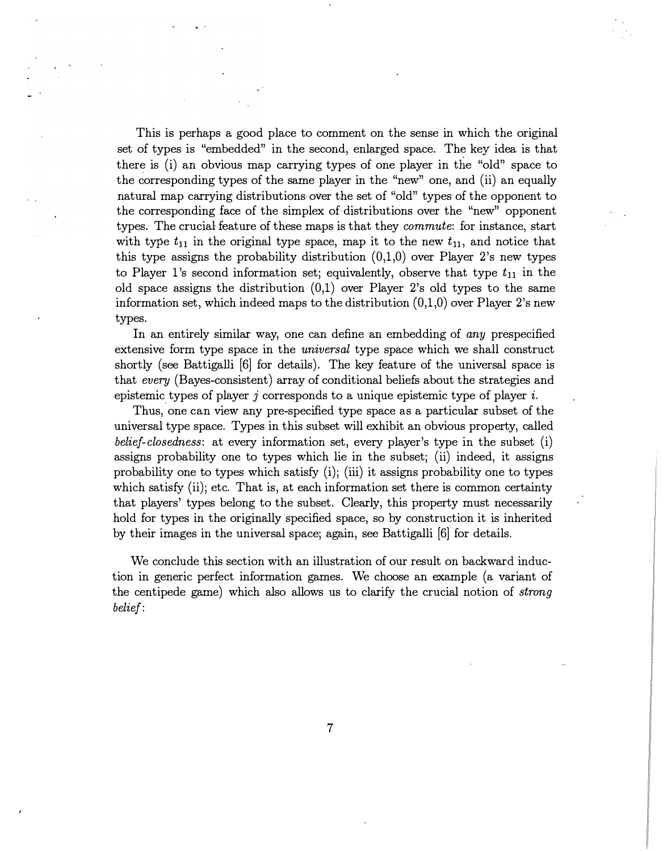This is perhaps a good place to comment on the sense in which the original set of types is "embedded" in the second, enlarged space. The key idea is that there is (i) an obvious map carrying types of one player in the "old" space to the corresponding types of the same player in the "new" one, and (ii) an equally natural map carrying distributions over the set of "old" types of the opponent to the corresponding face of the simplex of. distributions over the "new" opponent types. The crucial feature of these maps is that they *commute*: for instance, start with type  $t_{11}$  in the original type space, map it to the new  $t_{11}$ , and notice that this type assigns the probability distribution  $(0,1,0)$  over Player 2's new types to Player 1's second information set; equivalently, observe that type  $t_{11}$  in the old space assigns the distribution  $(0,1)$  over Player 2's old types to the same information set, which indeed maps to the distribution  $(0,1,0)$  over Player 2's new types.

In an entirely similar way, one can define an embedding of any prespecified extensive form type space in the *universal* type space which we shall construct shortly (see Battigalli [6] for details). The key feature of the universal space is that every (Bayes-consistent) array of conditional beliefs about the strategies and epistemic types of player j corresponds to a unique epistemic type of player i.<br>These mentions are not proposed to a type of the second set of the set of the second set of the set of the set of the set of the set of the se

Thus, one can view any pre-specified type space as a particular subset of the universal type space. Types in this subset will exhibit an obvious property, called belief-closedness: at every information set, every player's type in the subset (i) assigns probability one to types which lie in the subset; (ii) indeed, it assigns probability one to types which satisfy (i); (iii) it assigns probability one to types which satisfy (ii); etc. That is, at each information set there is common certainty that players' types belong to the subset. Clearly, this property must necessarily hold for types in the originally specified space, so by construction it is inherited by their images in the universal space; again, see Battigalli [6] for details.

We conclude this section with an illustration of our result on backward induction in generic perfect information games. We choose an example (a variant of the centipede game) which also allows us to clarify the crucial notion of strong belief:

7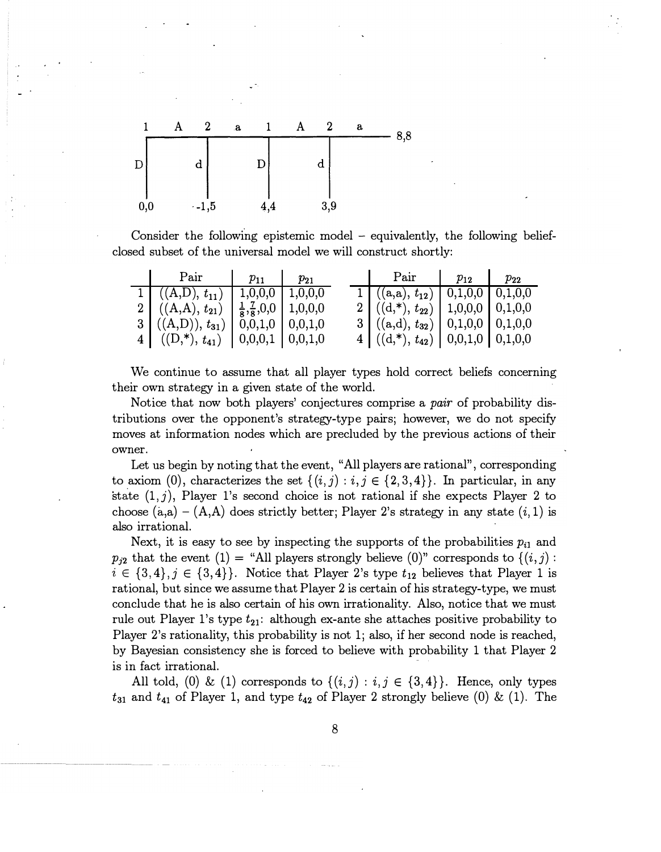

Consider the following epistemic model - equivalently, the following beliefclosed subset of the universal model we will construct shortly:

| Pair $\vert p_{11} \vert p_{21} \vert$                                       |  | Pair $p_{12}$   $p_{22}$                   |  |
|------------------------------------------------------------------------------|--|--------------------------------------------|--|
| $1 \mid ((A, D), t_{11}) \mid 1, 0, 0, 0 \mid 1, 0, 0, 0$                    |  | 1 $((a,a), t_{12})$   0,1,0,0   0,1,0,0    |  |
| 2 $((A,A), t_{21}) \left  \frac{1}{8}, \frac{7}{8}, 0, 0 \right  1, 0, 0, 0$ |  | 2   $((d, *), t_{22})$   1,0,0,0   0,1,0,0 |  |
| 3 $((A,D))$ , $t_{31}$   0,0,1,0   0,0,1,0                                   |  | $3   ((a,d), t_{32})   0,1,0,0   0,1,0,0$  |  |
| 4 $((D, *), t_{41})$ $(0,0,0,1)$ $(0,0,1,0)$                                 |  | 4 $((d, *), t_{42})$   0,0,1,0   0,1,0,0   |  |

We continue to assume that all player types hold correct beliefs concerning their own strategy in a given state of the world.

Notice that now both players' conjectures comprise a pair of probability distributions over the opponent's strategy-type pairs; however, we do not specify moves at information nodes which are precluded by the previous actions of their owner.

Let us begin by noting that the event, "All players are rational", corresponding to axiom (0), characterizes the set  $\{(i,j): i,j \in \{2,3,4\}\}\$ . In particular, in any state  $(1,j)$ , Player 1's second choice is not rational if she expects Player 2 to choose  $(a,a) - (A,A)$  does strictly better; Player 2's strategy in any state  $(i,1)$  is also irrational.

Next, it is easy to see by inspecting the supports of the probabilities  $p_{i1}$  and  $p_{j2}$  that the event (1) = "All players strongly believe (0)" corresponds to  $\{(i,j):$  $i \in \{3,4\}, j \in \{3,4\}$ . Notice that Player 2's type  $t_{12}$  believes that Player 1 is rational, but since we assume that Player 2 is certain of his strategy-type, we must conclude that he is also certain of his own irrationality. Also, notice that we must rule out Player 1's type  $t_{21}$ : although ex-ante she attaches positive probability to Player 2's rationality, this probability is not 1; also, if her second node is reached, by Bayesian consistency she is forced to believe with probability 1 that Player 2 is in fact irrational.

All told, (0) & (1) corresponds to  $\{(i,j): i,j \in \{3,4\}\}.$  Hence, only types  $t_{31}$  and  $t_{41}$  of Player 1, and type  $t_{42}$  of Player 2 strongly believe (0) & (1). The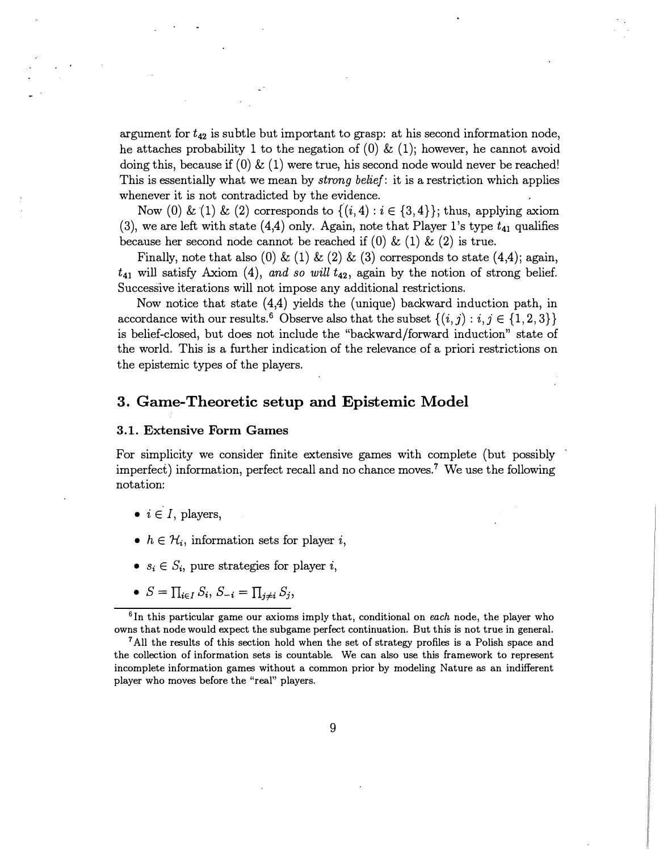argument for  $t_{42}$  is subtle but important to grasp: at his second information node, he attaches probability 1 to the negation of  $(0) \& (1)$ ; however, he cannot avoid doing this, because if  $(0) \& (1)$  were true, his second node would never be reached! This is essentially what we mean by *strong belief*: it is a restriction which applies whenever it is not contradicted by the evidence.

Now (0) & (1) & (2) corresponds to  $\{(i,4): i \in \{3,4\}\};$  thus, applying axiom (3), we are left with state (4,4) only. Again, note that Player 1's type  $t_{41}$  qualifies because her second node cannot be reached if  $(0) \& (1) \& (2)$  is true.

Finally, note that also (0) & (1) & (2) & (3) corresponds to state  $(4,4)$ ; again,  $t_{41}$  will satisfy Axiom (4), and so will  $t_{42}$ , again by the notion of strong belief. Successive iterations will not impose any additional restrictions.

Now notice that state (4,4) yields the (unique) backward induction path, in accordance with our results.<sup>6</sup> Observe also that the subset  $\{(i,j): i,j \in \{1,2,3\}\}\$ is belief-closed, but does not include the "backward/ forward induction" state of the world. This is a further indication of the relevance of a priori restrictions on the epistemic types of the players.

## 3. Game-Theoretic setup and Epistemic Model

#### 3.1. Extensive Form Games

For simplicity we consider finite extensive games with complete (but possibly imperfect) information, perfect recall and no chance moves.<sup>7</sup> We use the following notation:

- $i \in I$ , players,
- $h \in \mathcal{H}_i$ , information sets for player i,
- $s_i \in S_i$ , pure strategies for player i,
- $S = \prod_{i \in I} S_i$ ,  $S_{-i} = \prod_{j \neq i} S_j$ ,

 $6$ In this particular game our axioms imply that, conditional on each node, the player who owns that node would expect the subgame perfect continuation. But this is not true in general.

<sup>7</sup>All the results of this section hold when the set of strategy profiles is a Polish space and the collection of information sets is countable. We can also use this framework to represent incomplete information games without a common prior by modeling Nature as an indifferent player who moves before the "real" players.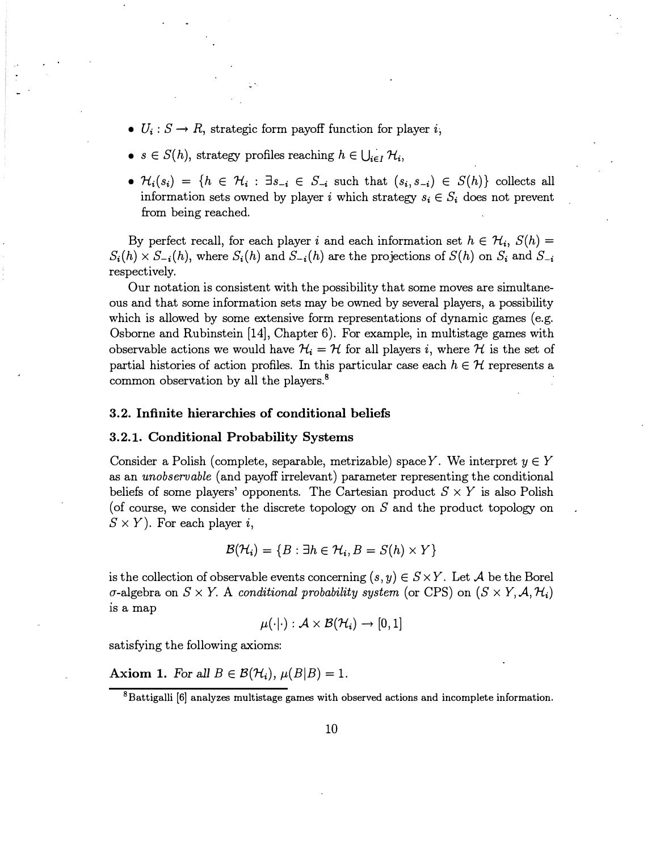- $U_i: S \to R$ , strategic form payoff function for player i;
- $s \in S(h)$ , strategy profiles reaching  $h \in \bigcup_{i \in I} \mathcal{H}_i$ ,
- $\mathcal{H}_i(s_i) = \{h \in \mathcal{H}_i : \exists s_{-i} \in S_{-i} \text{ such that } (s_i, s_{-i}) \in S(h)\}\)$  collects all information sets owned by player i which strategy  $s_i \in S_i$  does not prevent from being reached.

By perfect recall, for each player i and each information set  $h \in H_i$ ,  $S(h) =$  $S_i(h) \times S_{-i}(h)$ , where  $S_i(h)$  and  $S_{-i}(h)$  are the projections of  $S(h)$  on  $S_i$  and  $S_{-i}$ respectively.

Our notation is consistent with the possibility that some moves are simultaneous and that some information sets may be owned by several players, a possibility which is allowed by some extensive form representations of dynamic games (e.g. Osborne and Rubinstein [14], Chapter 6). For example, in multistage games with observable actions we would have  $\mathcal{H}_i = \mathcal{H}$  for all players i, where  $\mathcal{H}$  is the set of partial histories of action profiles. In this particular case each  $h \in \mathcal{H}$  represents a common observation by all the players.<sup>8</sup>

#### 3.2. Infinite hierarchies of conditional beliefs

#### 3.2.1. Conditional Probability Systems

Consider a Polish (complete, separable, metrizable) space Y. We interpret  $y \in Y$ as an unobservable (and payoff irrelevant) parameter representing the conditional beliefs of some players' opponents. The Cartesian product  $S \times Y$  is also Polish (of course, we consider the discrete topology on  $S$  and the product topology on  $S \times Y$ ). For each player i,

$$
\mathcal{B}(\mathcal{H}_i) = \{B : \exists h \in \mathcal{H}_i, B = S(h) \times Y\}
$$

is the collection of observable events concerning  $(s, y) \in S \times Y$ . Let A be the Borel  $\sigma$ -algebra on  $S \times Y$ . A conditional probability system (or CPS) on  $(S \times Y, \mathcal{A}, \mathcal{H}_i)$ is a map

$$
\mu(\cdot|\cdot):\mathcal{A}\times\mathcal{B}(\mathcal{H}_{\bm i})\to[0,1]
$$

satisfying the following axioms:

Axiom 1. For all  $B \in \mathcal{B}(\mathcal{H}_i)$ ,  $\mu(B|B) = 1$ .

 $8B$ attigalli [6] analyzes multistage games with observed actions and incomplete information.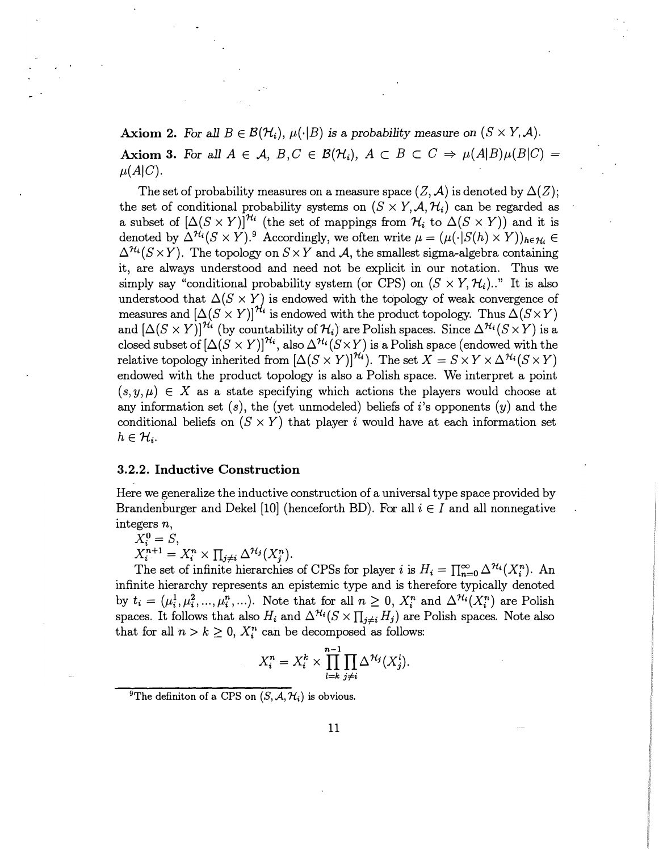Axiom 2. For all  $B \in \mathcal{B}(\mathcal{H}_i)$ ,  $\mu(\cdot|B)$  is a probability measure on  $(S \times Y, \mathcal{A})$ . Axiom 3. For all  $A \in \mathcal{A}$ ,  $B, C \in \mathcal{B}(\mathcal{H}_i)$ ,  $A \subset B \subset C \Rightarrow \mu(A|B)\mu(B|C) =$  $\mu(A|C)$ .

The set of probability measures on a measure space  $(Z, \mathcal{A})$  is denoted by  $\Delta(Z)$ ; the set of conditional probability systems on  $(S \times Y, \mathcal{A}, \mathcal{H}_i)$  can be regarded as a subset of  $[\Delta(S \times Y)]^{\mathcal{H}_i}$  (the set of mappings from  $\mathcal{H}_i$  to  $\Delta(S \times Y)$ ) and it is denoted by  $\Delta^{H_i}(S \times Y)^{9}$ . Accordingly, we often write  $\mu = (\mu(\cdot|S(h) \times Y))_{h \in H_i} \in$  $\Delta^{\mathcal{H}_i}(S \times Y)$ . The topology on  $S \times Y$  and A, the smallest sigma-algebra containing it, are always understood and need not be explicit in our notation. Thus we simply say "conditional probability system (or CPS) on  $(S \times Y, \mathcal{H}_i)$ .." It is also understood that  $\Delta(S \times Y)$  is endowed with the topology of weak convergence of measures and  $\left[\Delta(S \times Y)\right]^{\mathcal{H}_i}$  is endowed with the product topology. Thus  $\Delta(S \times Y)$ and  $[\Delta(S \times Y)]^{\mathcal{H}_i}$  (by countability of  $\mathcal{H}_i$ ) are Polish spaces. Since  $\Delta^{\mathcal{H}_i}(S \times Y)$  is a closed subset of  $[\Delta(S \times Y)]^{\mathcal{H}_i}$ , also  $\Delta^{\mathcal{H}_i}(S \times Y)$  is a Polish space (endowed with the relative topology inherited from  $[\Delta(S \times Y)]^{N_i}$ ). The set  $X = S \times Y \times \Delta^{N_i}(S \times Y)$ endowed with the product topology is also a Polish space. We interpret a point  $(s, y, \mu) \in X$  as a state specifying which actions the players would choose at any information set  $(s)$ , the (yet unmodeled) beliefs of i's opponents  $(y)$  and the conditional beliefs on  $(S \times Y)$  that player i would have at each information set  $h \in \mathcal{H}_i$ .

#### 3.2.2. Inductive Construction

Here we generalize the inductive construction of a universal type space provided by Brandenburger and Dekel [10] (henceforth BD). For all  $i \in I$  and all nonnegative integers n,

$$
X_i^0 = S,
$$
  
\n
$$
X_i^{n+1} = X_i^n \times \prod_{j \neq i} \Delta^{\mathcal{H}_j} (X_j^n).
$$

The set of infinite hierarchies of CPSs for player i is  $H_i = \prod_{n=0}^{\infty} \Delta^{\mathcal{H}_i}(X_i^n)$ . An infinite hierarchy represents an epistemic type and is therefore typically denoted by  $t_i=(\mu_i^1,\mu_i^2,\ldots,\mu_i^n,\ldots)$ . Note that for all  $n\geq 0$ ,  $X_i^n$  and  $\Delta^{H_i}(X_i^n)$  are Polish spaces. It follows that also  $H_i$  and  $\Delta^{H_i}(S \times \prod_{j \neq i} H_j)$  are Polish spaces. Note also that for all  $n > k \geq 0$ ,  $X_i^n$  can be decomposed as follows:

$$
X_i^n = X_i^k \times \prod_{l=k}^{n-1} \prod_{j \neq i} \Delta^{\mathcal{H}_j}(X_j^l).
$$

<sup>&</sup>lt;sup>9</sup>The definiton of a CPS on  $(S, \mathcal{A}, \mathcal{H}_i)$  is obvious.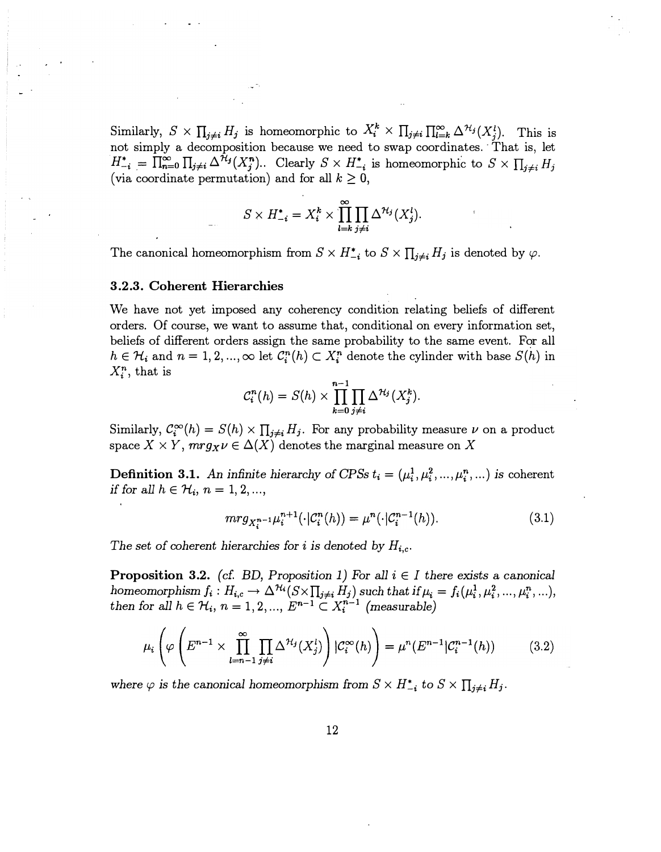Similarly,  $S \times \prod_{j \neq i} H_j$  is homeomorphic to  $X_i^k \times \prod_{j \neq i} \prod_{i=k}^{\infty} \Delta^{\mathcal{H}_j}(X_j^l)$ . This is not simply a decomposition because we need to swap coordinates. · That is, let  $H_{-i}^* = \overline{\prod_{n=0}^{\infty} \prod_{j\neq i} \Delta^{\mathcal{H}_j}(X_j^n)}$ .. Clearly  $S \times H_{-i}^*$  is homeomorphic to  $S \times \prod_{j\neq i} H_j$ (via coordinate permutation) and for all  $k \geq 0$ ,

$$
S \times H_{-i}^* = X_i^k \times \prod_{l=k}^{\infty} \prod_{j \neq i} \Delta^{\mathcal{H}_j} (X_j^l).
$$

The canonical homeomorphism from  $S \times H_{-i}^*$  to  $S \times \prod_{j \neq i} H_j$  is denoted by  $\varphi$ .

#### 3.2.3. Coherent Hierarchies

We have not yet imposed any coherency condition relating beliefs of different orders. Of course, we want to assume that, conditional on every information set, beliefs of different orders assign the same probability to the same event. For all  $h \in \mathcal{H}_i$  and  $n = 1, 2, ..., \infty$  let  $\mathcal{C}_i^n(h) \subset X_i^n$  denote the cylinder with base  $S(h)$  in  $X_i^n$ , that is

$$
C_i^n(h) = S(h) \times \prod_{k=0}^{n-1} \prod_{j \neq i} \Delta^{\mathcal{H}_j}(X_j^k).
$$

Similarly,  $C_i^{\infty}(h) = S(h) \times \prod_{i \neq i} H_i$ . For any probability measure  $\nu$  on a product space  $X \times Y$ ,  $mrg_X \nu \in \Delta(X)$  denotes the marginal measure on X

**Definition 3.1.** An infinite hierarchy of CPSs  $t_i = (\mu_i^1, \mu_i^2, ..., \mu_i^n, ...)$  is coherent if for all  $h \in \mathcal{H}_i$ ,  $n = 1, 2, ...,$ 

$$
mrg_{X_i^{n-1}}\mu_i^{n+1}(\cdot|\mathcal{C}_i^n(h)) = \mu^n(\cdot|\mathcal{C}_i^{n-1}(h)).
$$
\n(3.1)

The set of coherent hierarchies for i is denoted by  $H_{i,c}$ .

**Proposition 3.2.** (cf. BD, Proposition 1) For all  $i \in I$  there exists a canonical homeomorphism  $f_i: H_{i,c} \to \Delta^{\mathcal{H}_i}(S \times \prod_{j \neq i} H_j)$  such that if  $\mu_i = f_i(\mu_i^1, \mu_i^2, ..., \mu_i^n, ...)$ , then for all  $h \in \mathcal{H}_i$ ,  $n = 1, 2, ..., E^{n-1} \subset X_i^{n-1}$  (measurable)

$$
\mu_i\left(\varphi\left(E^{n-1}\times\prod_{l=n-1}^{\infty}\prod_{j\neq i}\Delta^{\mathcal{H}_j}(X_j^l)\right)|\mathcal{C}_i^{\infty}(h)\right)=\mu^n(E^{n-1}|\mathcal{C}_i^{n-1}(h))\tag{3.2}
$$

where  $\varphi$  is the canonical homeomorphism from  $S \times H_{-i}^*$  to  $S \times \prod_{j \neq i} H_j$ .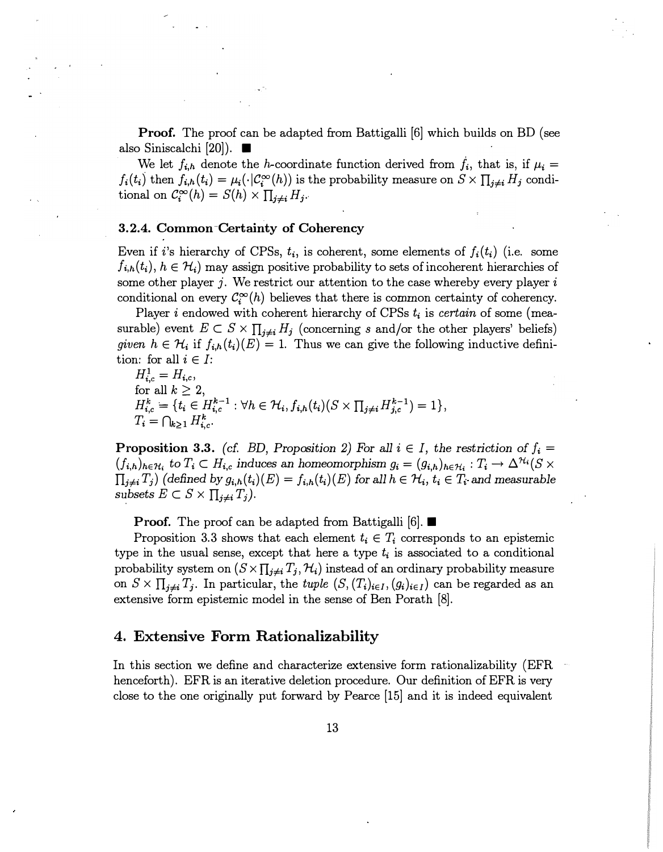**Proof.** The proof can be adapted from Battigalli [6] which builds on BD (see also Siniscalchi [20]).  $\blacksquare$ 

We let  $f_{i,h}$  denote the h-coordinate function derived from  $f_i$ , that is, if  $\mu_i =$  $f_i(t_i)$  then  $f_{i,h}(t_i) = \mu_i(\cdot|\mathcal{C}^{\infty}_i(h))$  is the probability measure on  $S \times \prod_{i \neq i} H_i$  conditional on  $\mathcal{C}_{i}^{\infty}(h) = S(h) \times \prod_{i \neq i} H_{i}$ .

#### 3. 2.4. Common -Certainty of Coherency

Even if i's hierarchy of CPSs,  $t_i$ , is coherent, some elements of  $f_i(t_i)$  (i.e. some  $f_{i,h}(t_i)$ ,  $h \in \mathcal{H}_i$  may assign positive probability to sets of incoherent hierarchies of some other player j. We restrict our attention to the case whereby every player  $i$ conditional on every  $\mathcal{C}_i^{\infty}(h)$  believes that there is common certainty of coherency.

Player *i* endowed with coherent hierarchy of CPSs  $t_i$  is certain of some (measurable) event  $E \subset S \times \prod_{i \neq i} H_i$  (concerning s and/or the other players' beliefs) given  $h \in H_i$  if  $f_{i,h}(t_i)(E) = 1$ . Thus we can give the following inductive definition: for all  $i \in I$ :

 $H_{i,c}^1 = H_{i,c}$ , for all  $k \geq 2$ ,  $H_{i,c}^k = \{\overline{t_i} \in \overline{H_{i,c}^{k-1}} : \forall h \in \mathcal{H}_i, f_{i,h}(t_i)(S \times \prod_{j \neq i} H_{j,c}^{k-1}) = 1\},$  $T_i = \bigcap_{k>1} H_{i,c}^k$ .

**Proposition 3.3.** (cf. BD, Proposition 2) For all  $i \in I$ , the restriction of  $f_i$  $(f_{i,h})_{h\in\mathcal{H}_i}$  to  $T_i\subset H_{i,c}$  induces an homeomorphism  $g_i=(g_{i,h})_{h\in\mathcal{H}_i}:T_i\to\Delta^{\mathcal{H}_i}(S\times\mathbb{R})$  $\prod_{j\neq i} T_j$ ) (defined by  $g_{i,h}(t_i)(E) = f_{i,h}(t_i)(E)$  for all  $h \in \mathcal{H}_i$ ,  $t_i \in T_i$  and measurable subsets  $E \subset S \times \prod_{i \neq i} T_i$ .

**Proof.** The proof can be adapted from Battigalli [6].  $\blacksquare$ 

Proposition 3.3 shows that each element  $t_i \in T_i$  corresponds to an epistemic type in the usual sense, except that here a type  $t_i$  is associated to a conditional probability system on  $(S \times \prod_{j \neq i} T_j, \mathcal{H}_i)$  instead of an ordinary probability measure on  $S \times \prod_{j \neq i} T_j$ . In particular, the tuple  $(S, (T_i)_{i \in I}, (g_i)_{i \in I})$  can be regarded as an extensive form epistemic model in the sense of Ben Porath [8].

### 4. Extensive Form Rationalizability

In this section we define and characterize extensive form rationalizability (EFR henceforth). EFR is an iterative deletion procedure. Our definition of EFR is very close to the one originally put forward by Pearce [15] and it is indeed equivalent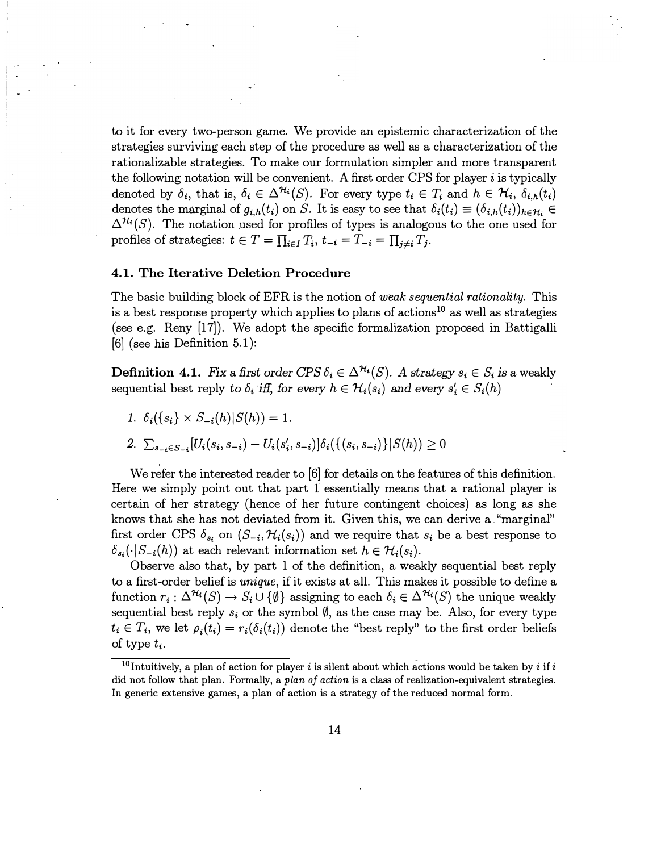to it for every two-person game. We provide an epistemic characterization of the strategies surviving each step of the procedure as well as a characterization of the rationalizable strategies. To make our formulation simpler and more transparent the following notation will be convenient. A first order CPS for player  $i$  is typically denoted by  $\delta_i$ , that is,  $\delta_i \in \Delta^{H_i}(S)$ . For every type  $t_i \in T_i$  and  $h \in H_i$ ,  $\delta_{i,h}(t_i)$ denotes the marginal of  $g_{i,h}(t_i)$  on S. It is easy to see that  $\delta_i(t_i) \equiv (\delta_{i,h}(t_i))_{h \in \mathcal{H}_i} \in$  $\Delta^{H_i}(S)$ . The notation used for profiles of types is analogous to the one used for profiles of strategies:  $t \in T = \prod_{i \in I} T_i$ ,  $t_{-i} = T_{-i} = \prod_{j \neq i} T_j$ .

#### 4.1. The Iterative Deletion Procedure

The basic building block of EFR is the notion of weak sequential rationality. This is a best response property which applies to plans of actions<sup>10</sup> as well as strategies (see e.g. Reny [17)). We adopt the specific formalization proposed in Battigalli [6] (see his Definition 5.1):

**Definition 4.1.** Fix a first order CPS  $\delta_i \in \Delta^{H_i}(S)$ . A strategy  $s_i \in S_i$  is a weakly sequential best reply to  $\delta_i$  iff, for every  $h \in \mathcal{H}_i(s_i)$  and every  $s'_i \in S_i(h)$ 

- 1.  $\delta_i({s_i} \times S_{-i}(h)|S(h)) = 1$ .
- 2.  $\sum_{s_{-i}\in S_{-i}}[U_i(s_i, s_{-i}) U_i(s'_i, s_{-i})]\delta_i(\{(s_i, s_{-i})\}|S(h)) \geq 0$

We refer the interested reader to [6] for details on the features of this definition. Here we simply point out that part 1 essentially means that a rational player is certain of her strategy (hence of her future contingent choices) as long as she knows that she has not deviated from it. Given this, we can derive a. "marginal" first order CPS  $\delta_{s_i}$  on  $(S_{-i}, \mathcal{H}_i(s_i))$  and we require that  $s_i$  be a best response to  $\delta_{s_i}(\cdot|S_{-i}(h))$  at each relevant information set  $h \in \mathcal{H}_i(s_i)$ .

Observe also that, by part 1 of the definition, a weakly sequential best reply to a first-order belief is unique, if it exists at all. This makes it possible to define a function  $r_i : \Delta^{H_i}(S) \to S_i \cup {\emptyset}$  assigning to each  $\delta_i \in \Delta^{H_i}(S)$  the unique weakly sequential best reply  $s_i$  or the symbol  $\emptyset$ , as the case may be. Also, for every type  $t_i \in T_i$ , we let  $\rho_i(t_i) = r_i(\delta_i(t_i))$  denote the "best reply" to the first order beliefs of type  $t_i$ .

<sup>&</sup>lt;sup>10</sup>Intuitively, a plan of action for player *i* is silent about which actions would be taken by *i* if *i* did not follow that plan. Formally, a plan of action is a class of realization-equivalent strategies. In generic extensive games, a plan of action is a strategy of the reduced normal form.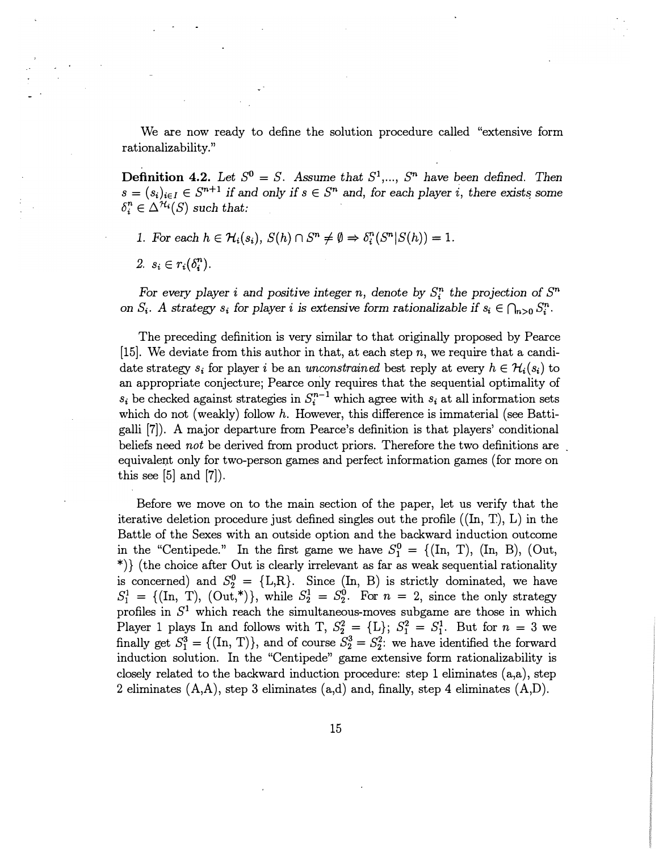We are now ready to define the solution procedure called "extensive form rationalizability."

**Definition 4.2.** Let  $S^0 = S$ . Assume that  $S^1, ..., S^n$  have been defined. Then  $s = (s_i)_{i \in I} \in S^{n+1}$  if and only if  $s \in S^n$  and, for each player i, there exists some  $\delta_i^n \in \Delta^{\mathcal{H}_i}(S)$  such that:

- 1. For each  $h \in \mathcal{H}_i(s_i)$ ,  $S(h) \cap S^n \neq \emptyset \Rightarrow \delta_i^n(S^n | S(h)) = 1$ .
- 2.  $s_i \in r_i(\delta_i^n)$ .

For every player i and positive integer n, denote by  $S_i^n$  the projection of  $S^n$ on  $S_i$ . A strategy  $s_i$  for player i is extensive form rationalizable if  $s_i \in \bigcap_{n>0} S_i^n$ .

The preceding definition is very similar to that originally proposed by Pearce  $[15]$ . We deviate from this author in that, at each step n, we require that a candidate strategy  $s_i$  for player i be an unconstrained best reply at every  $h \in \mathcal{H}_i(s_i)$  to an appropriate conjecture; Pearce only requires that the sequential optimality of  $s_i$  be checked against strategies in  $S_i^{n-1}$  which agree with  $s_i$  at all information sets which do not (weakly) follow  $h$ . However, this difference is immaterial (see Battigalli [7]). A major departure from Pearce's definition is that players' conditional beliefs need not be derived from product priors. Therefore the two definitions are. equivalent only for two-person games and perfect information games (for more on this see  $[5]$  and  $[7]$ ).

Before we move on to the main section of the paper, let us verify that the iterative deletion procedure just defined singles out the profile  $((\text{In}, T), L)$  in the Battle of the Sexes with an outside option and the backward induction outcome in the "Centipede." In the first game we have  $S_1^0 = \{(\text{In, T}), (\text{In, B}), (\text{Out,}$ \*)} (the choice after Out is clearly irrelevant as far as weak sequential rationality is concerned) and  $S_2^0 = \{L,R\}$ . Since  $(In, B)$  is strictly dominated, we have  $S_1^1 = \{(\text{In, T}), (\text{Out,*})\},$  while  $S_2^1 = S_2^0$ . For  $n = 2$ , since the only strategy profiles in  $S<sup>1</sup>$  which reach the simultaneous-moves subgame are those in which Player 1 plays In and follows with T,  $S_2^2 = \{L\}$ ;  $S_1^2 = S_1^1$ . But for  $n = 3$  we finally get  $S_1^3 = \{(\text{In}, \text{T})\}$ , and of course  $S_2^3 = S_2^2$ : we have identified the forward induction solution. In the "Centipede" game extensive form rationalizability is closely related to the backward induction procedure: step 1 eliminates (a,a), step 2 eliminates  $(A, A)$ , step 3 eliminates  $(a,d)$  and, finally, step 4 eliminates  $(A, D)$ .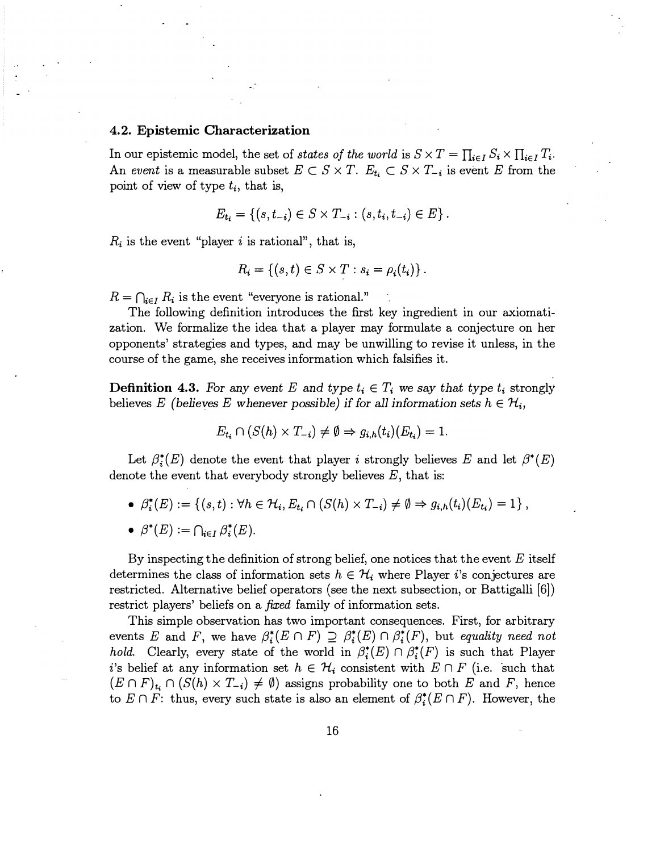#### 4. 2. Epistemic Characterization

In our epistemic model, the set of states of the world is  $S \times T = \prod_{i \in I} S_i \times \prod_{i \in I} T_i$ . An event is a measurable subset  $E \subset S \times T$ .  $E_{t_i} \subset S \times T_{-i}$  is event E from the point of view of type  $t_i$ , that is,

$$
E_{t_i} = \{(s, t_{-i}) \in S \times T_{-i} : (s, t_i, t_{-i}) \in E\}.
$$

 $R_i$  is the event "player i is rational", that is,

$$
R_i = \{(s, t) \in S \times T : s_i = \rho_i(t_i)\}.
$$

 $R = \bigcap_{i \in I} R_i$  is the event "everyone is rational."

The following definition introduces the first key ingredient in our axiomatization. We formalize the idea that a player may formulate a conjecture on her opponents' strategies and types, and may be unwilling to revise it unless, in the course of the game, she receives information which falsifies it.

**Definition 4.3.** For any event E and type  $t_i \in T_i$  we say that type  $t_i$  strongly believes E (believes E whenever possible) if for all information sets  $h \in \mathcal{H}_i$ ,

$$
E_{t_i} \cap (S(h) \times T_{-i}) \neq \emptyset \Rightarrow g_{i,h}(t_i)(E_{t_i}) = 1.
$$

Let  $\beta_i^*(E)$  denote the event that player i strongly believes E and let  $\beta^*(E)$ denote the event that everybody strongly believes  $E$ , that is:

- $\beta_i^*(E) := \{(s, t): \forall h \in \mathcal{H}_i, E_t, \cap (S(h) \times T_{-i}) \neq \emptyset \Rightarrow g_{i,h}(t_i)(E_{t_i})=1\},$
- $\beta^*(E) := \bigcap_{i \in I} \beta_i^*(E).$

By inspecting the definition of strong belief, one notices that the event  $E$  itself determines the class of information sets  $h \in \mathcal{H}_i$  where Player i's conjectures are restricted. Alternative belief operators (see the next subsection, or Battigalli [6]) restrict players' beliefs on a *fixed* family of information sets.

This simple observation has two important consequences. First, for arbitrary events E and F, we have  $\beta_i^*(E \cap F) \supseteq \beta_i^*(E) \cap \beta_i^*(F)$ , but equality need not hold. Clearly, every state of the world in  $\beta_i^*(E) \cap \beta_i^*(F)$  is such that Player i's belief at any information set  $h \in \mathcal{H}_i$  consistent with  $E \cap F$  (i.e. such that  $(E \cap F)_{t_i} \cap (S(h) \times T_{-i}) \neq \emptyset$  assigns probability one to both E and F, hence to  $E \cap F$ : thus, every such state is also an element of  $\beta_i^*(E \cap F)$ . However, the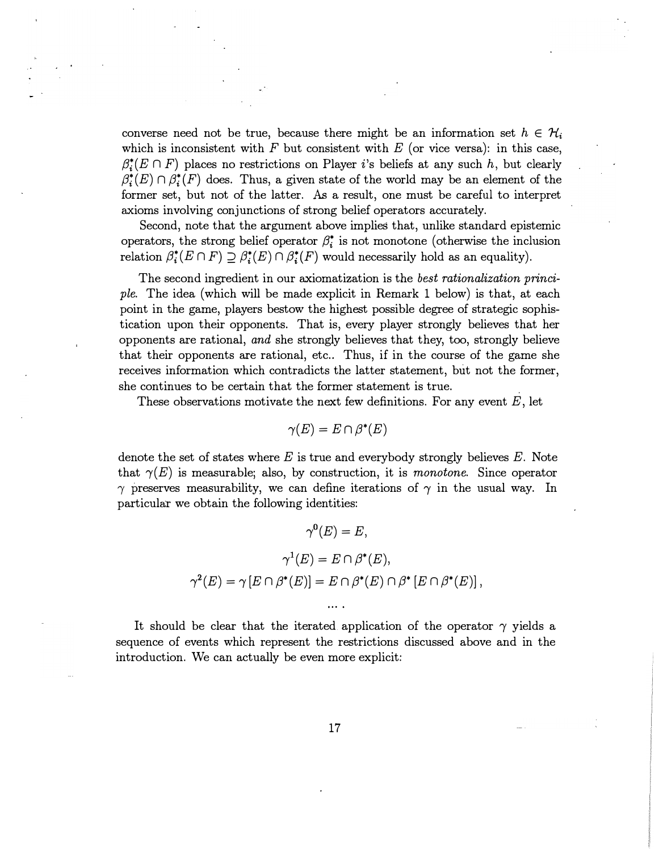converse need not be true, because there might be an information set  $h \in \mathcal{H}_i$ which is inconsistent with  $F$  but consistent with  $E$  (or vice versa): in this case,  $\beta_i^*(E \cap F)$  places no restrictions on Player i's beliefs at any such h, but clearly  $\beta_i^*(E) \cap \beta_i^*(F)$  does. Thus, a given state of the world may be an element of the former set, but not of the latter. As a result, one must be careful to interpret axioms involving conjunctions of strong belief operators accurately.

Second, note that the argument above implies that, unlike standard epistemic operators, the strong belief operator  $\beta_i^*$  is not monotone (otherwise the inclusion relation  $\beta_i^*(E \cap F) \supseteq \beta_i^*(E) \cap \beta_i^*(F)$  would necessarily hold as an equality).

The second ingredient in our axiomatization is the best rationalization principle. The idea (which will be made explicit in Remark 1 below) is that, at each point in the game, players bestow the highest possible degree of strategic sophistication upon their opponents. That is, every player strongly believes that her opponents are rational, and she strongly believes that they, too, strongly believe that their opponents are rational, etc.. Thus, if in the course of the game she receives information which contradicts the latter statement, but not the former, she continues to be certain that the former statement is true.

These observations motivate the next few definitions. For any event  $E$ , let

$$
\gamma(E) = E \cap \beta^*(E)
$$

denote the set of states where E is true and everybody strongly believes  $E$ . Note that  $\gamma(E)$  is measurable; also, by construction, it is monotone. Since operator  $\gamma$  preserves measurability, we can define iterations of  $\gamma$  in the usual way. In particular we obtain the following identities:

$$
\gamma^{0}(E) = E,
$$
  

$$
\gamma^{1}(E) = E \cap \beta^{*}(E),
$$
  

$$
\gamma^{2}(E) = \gamma [E \cap \beta^{*}(E)] = E \cap \beta^{*}(E) \cap \beta^{*} [E \cap \beta^{*}(E)],
$$

It should be clear that the iterated application of the operator  $\gamma$  yields a sequence of events which represent the restrictions discussed above and in the introduction. We can actually be even more explicit: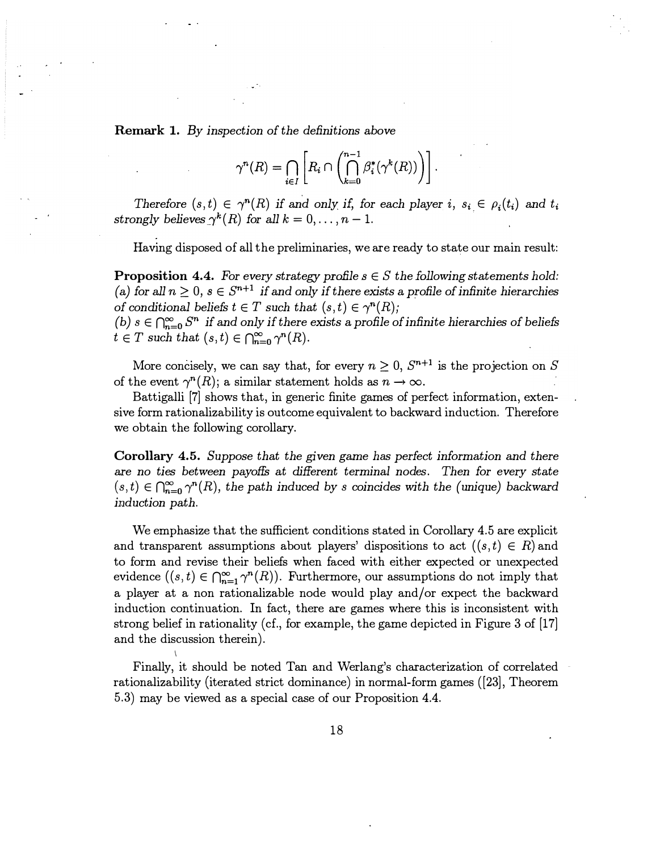Remark 1. By inspection of the definitions above

$$
\gamma^{n}(R) = \bigcap_{i \in I} \left[ R_i \cap \left( \bigcap_{k=0}^{n-1} \beta_i^*(\gamma^k(R)) \right) \right].
$$

Therefore  $(s, t) \in \gamma^{n}(R)$  if and only if, for each player i,  $s_i \in \rho_i(t_i)$  and  $t_i$ strongly believes  $\gamma^{k}(R)$  for all  $k = 0, \ldots, n - 1$ .

Having disposed of all the preliminaries, we are ready to state our main result:

**Proposition 4.4.** For every strategy profile  $s \in S$  the following statements hold: (a) for all  $n \geq 0$ ,  $s \in S^{n+1}$  if and only if there exists a profile of infinite hierarchies of conditional beliefs  $t \in T$  such that  $(s, t) \in \gamma^{n}(R)$ ;

(b)  $s \in \bigcap_{n=0}^{\infty} S^n$  if and only if there exists a profile of infinite hierarchies of beliefs  $t \in T$  such that  $(s, t) \in \bigcap_{n=0}^{\infty} \gamma^n(R)$ .

More concisely, we can say that, for every  $n \geq 0$ ,  $S^{n+1}$  is the projection on S of the event  $\gamma^{n}(R)$ ; a similar statement holds as  $n \to \infty$ .

Battigalli [7] shows that, in generic finite games of perfect information, extensive form rationalizability is outcome equivalent to backward induction. Therefore we obtain the following corollary.

Corollary 4.5. Suppose that the given game bas perfect information and there are no ties between payoffs at different terminal nodes. Then for every state  $(s, t) \in \bigcap_{n=0}^{\infty} \gamma^{n}(R)$ , the path induced by s coincides with the (unique) backward induction path.

We emphasize that the sufficient conditions stated in Corollary 4.5 are explicit and transparent assumptions about players' dispositions to act  $((s,t) \in R)$  and to form and revise their beliefs when faced with either expected or unexpected evidence  $((s, t) \in \bigcap_{n=1}^{\infty} \gamma^{n}(R))$ . Furthermore, our assumptions do not imply that a player at a non rationalizable node would play and/or expect the backward induction continuation. In fact, there are games where this is inconsistent with strong belief in rationality (cf., for example, the game depicted in Figure 3 of [17] and the discussion therein).

Finally, it should be noted Tan and Werlang's characterization of correlated rationalizability (iterated strict dominance) in normal-form games ([23], Theorem 5.3) may be viewed as a special case of our Proposition 4.4.

I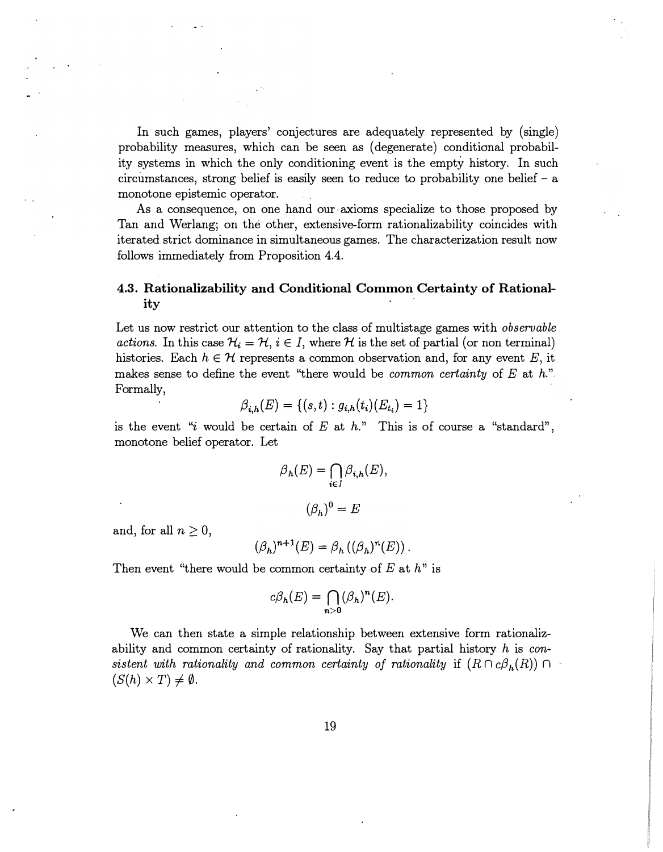In such games, players' conjectures are adequately represented by (single) probability measures, which can be seen as (degenerate) conditional probability systems in which the only conditioning event is the empty history. In such circumstances, strong belief is easily seen to reduce to probability one belief  $-$  a monotone epistemic operator.

As a consequence, on one hand our axioms specialize to those proposed by Tan and Werlang; on the other, extensive-form rationalizability coincides with iterated strict dominance in simultaneous games. The characterization result now follows immediately from Proposition 4.4.

## 4.3. Rationalizability and Conditional Common Certainty of Rationality<br>ity

Let us now restrict our attention to the class of multistage games with *observable* actions. In this case  $\mathcal{H}_i = \mathcal{H}, i \in I$ , where H is the set of partial (or non terminal) histories. Each  $h \in \mathcal{H}$  represents a common observation and, for any event E, it makes sense to define the event "there would be *common certainty* of  $E$  at  $h$ ." Formally,

$$
\beta_{i,h}(E) = \{(s,t) : g_{i,h}(t_i)(E_{t_i}) = 1\}
$$

is the event "i would be certain of  $E$  at  $h$ ." This is of course a "standard", monotone belief operator. Let

$$
\beta_h(E) = \bigcap_{i \in I} \beta_{i,h}(E),
$$

$$
(\beta_h)^0 = E
$$

and, for all  $n \geq 0$ ,

$$
(\beta_h)^{n+1}(E) = \beta_h ((\beta_h)^n(E))
$$

Then event "there would be common certainty of  $E$  at  $h$ " is

$$
c\beta_h(E) = \bigcap_{n>0} (\beta_h)^n(E).
$$

We can then state a simple relationship between extensive form rationalizability and common certainty of rationality. Say that partial history  $h$  is consistent with rationality and common certainty of rationality if  $(R \cap c\beta_h(R)) \cap$  $(S(h) \times T) \neq \emptyset$ .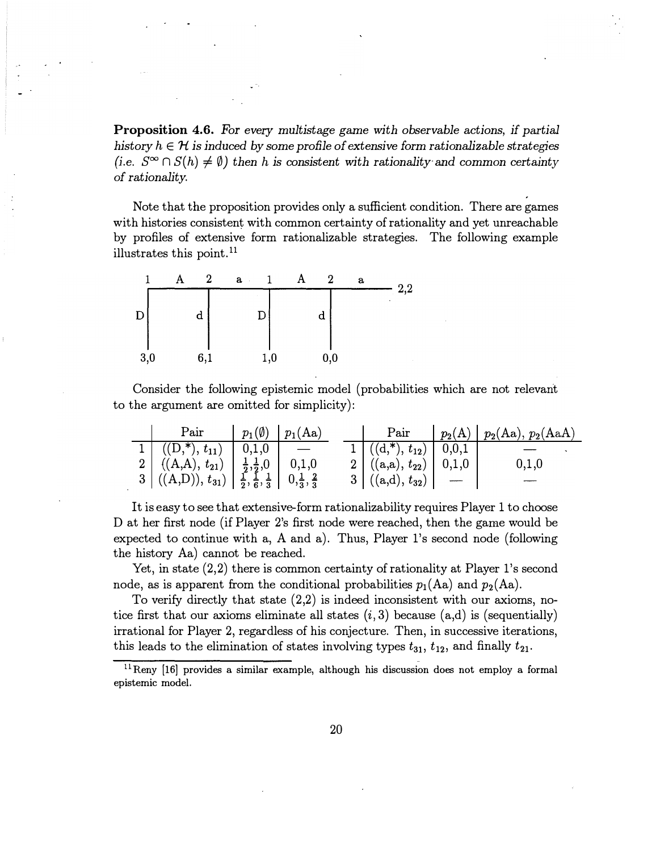Proposition 4.6. For every multistage game with observable actions, if partial history  $h \in \mathcal{H}$  is induced by some profile of extensive form rationalizable strategies (i.e.  $S^{\infty} \cap S(h) \neq \emptyset$ ) then h is consistent with rationality and common certainty of rationality.

Note that the proposition provides only a sufficient condition. There are games with histories consistent with common certainty of rationality and yet unreachable by profiles of extensive form rationalizable strategies. The following example illustrates this point. $<sup>11</sup>$ </sup>



Consider the following epistemic model (probabilities which are not relevant to the argument are omitted for simplicity):

| Pair                                                                                                                                                                                               | $p_1(\emptyset)$   $p_1(Aa)$ |                               | Pair $\mid p_2(A) \mid p_2(Aa), p_2(AaA) \mid$ |
|----------------------------------------------------------------------------------------------------------------------------------------------------------------------------------------------------|------------------------------|-------------------------------|------------------------------------------------|
| $1 \mid ((D, 1), t_{11}) \mid 0, 1, 0$                                                                                                                                                             |                              | $1((d, k), t_{12})   0, 0, 1$ |                                                |
|                                                                                                                                                                                                    |                              | 2 $((a,a), t_{22})   0,1,0$   | 0,1,0                                          |
| 2 $\left  \begin{array}{cc} ((A,A), t_{21}) & \frac{1}{2}, \frac{1}{2}, 0 & 0, 1, 0 \\ ((A,D)), t_{31}) & \frac{1}{2}, \frac{1}{6}, \frac{1}{3} & 0, \frac{1}{3}, \frac{2}{3} \end{array} \right $ |                              | $3((a,d), t_{32})$ -          |                                                |

It is easy to see that extensive-form rationalizability requires Player 1 to choose D at her first node (if Player 2's first node were reached, then the game would be expected to continue with a, A and a). Thus, Player l's second node (following the history Aa) cannot be reached.

Yet, in state (2,2) there is common certainty of rationality at Player l's second node, as is apparent from the conditional probabilities  $p_1(Aa)$  and  $p_2(Aa)$ .

To verify directly that state (2,2) is indeed inconsistent with our axioms, notice first that our axioms eliminate all states  $(i, 3)$  because  $(a,d)$  is (sequentially) irrational for Player 2, regardless of his conjecture. Then, in successive iterations, this leads to the elimination of states involving types  $t_{31}$ ,  $t_{12}$ , and finally  $t_{21}$ .

 $11$ Reny [16] provides a similar example, although his discussion does not employ a formal epistemic model.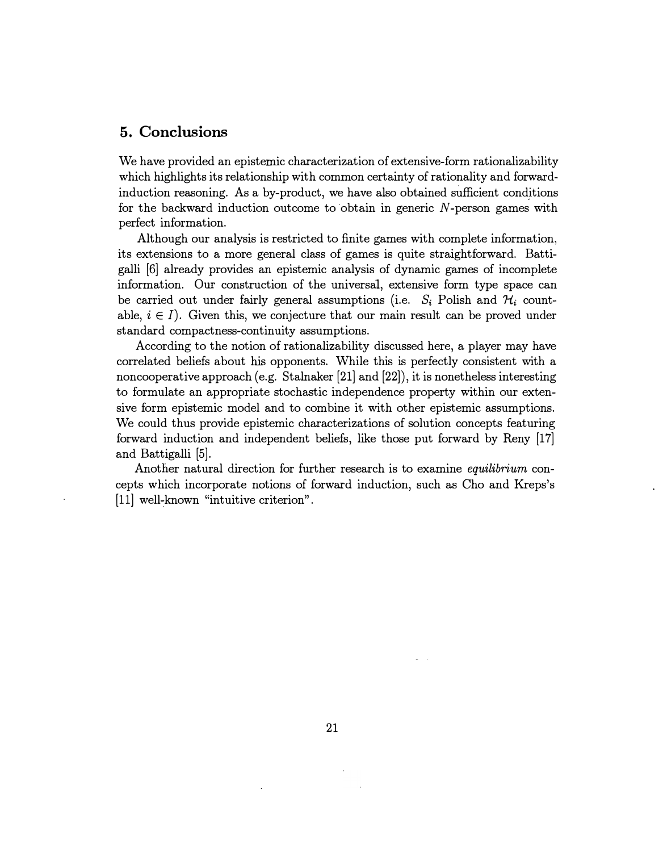## 5. Conclusions

We have provided an epistemic characterization of extensive-form rationalizability which highlights its relationship with common certainty of rationality and forwardinduction reasoning. As a by-product, we have also obtained sufficient condjtions for the backward induction outcome to obtain in generic  $N$ -person games with perfect information.

Although our analysis is restricted to finite games with complete information, its extensions to a more general class of games is quite straightforward. Battigalli [6] already provides an epistemic analysis of dynamic games of incomplete information. Our construction of the universal, extensive form type space can be carried out under fairly general assumptions (i.e.  $S_i$  Polish and  $\mathcal{H}_i$  countable,  $i \in I$ ). Given this, we conjecture that our main result can be proved under standard compactness-continuity assumptions.

According to the notion of rationalizability discussed here, a player may have correlated beliefs about his opponents. While this is perfectly consistent with a noncooperative approach (e.g. Stalnaker [21] and [22]), it is nonetheless interesting to formulate an appropriate stochastic independence property within our extensive form epistemic model and to combine it with other epistemic assumptions. We could thus provide epistemic characterizations of solution concepts featuring forward induction and independent beliefs, like those put forward by Reny [17] and Battigalli [5].

Another natural direction for further research is to examine *equilibrium* concepts which incorporate notions of forward induction, such as Cho and Kreps's  $[11]$  well-known "intuitive criterion".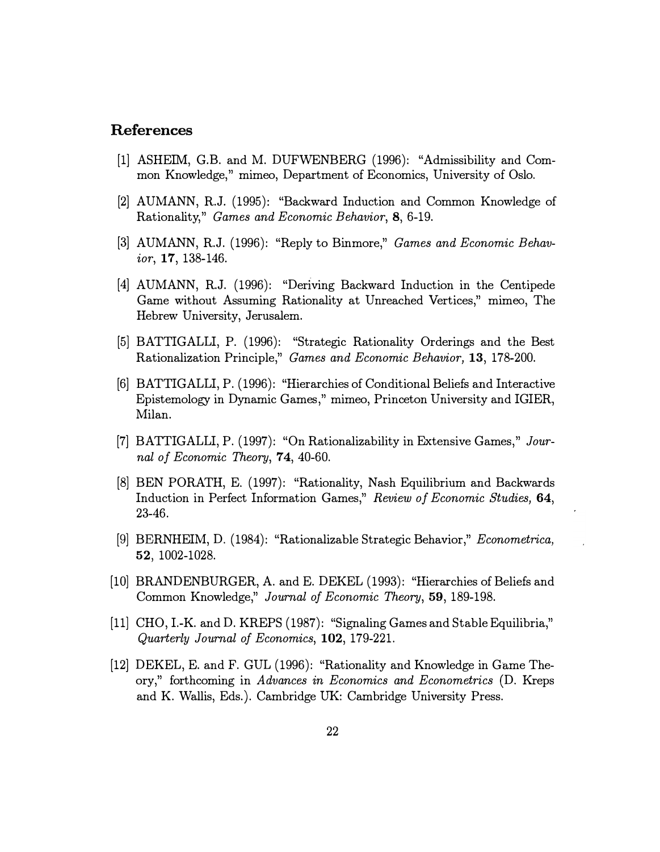## References

- [1] ASHEIM, G.B. and M. DUFWENBERG (1996): "Admissibility and Common Knowledge," mimeo, Department of Economics, University of Oslo.
- [2] AUMANN, R.J. (1995): "Backward Induction and Common Knowledge of Rationality," Games and Economic Behavior, 8, 6-19.
- [3] AUMANN, R.J. (1996): "Reply to Binmore," Games and Economic Behavior, 17, 138-146.
- [4] AUMANN, R.J. (1996): "Deriving Backward Induction in the Centipede Game without Assuming Rationality at Unreached Vertices," mimeo, The Hebrew University, Jerusalem.
- [5) BATTIGALLI, P. (1996): "Strategic Rationality Orderings and the Best Rationalization Principle," Games and Economic Behavior, 13, 178-200.
- [6] BATTIGALLI, P. (1996): "Hierarchies of Conditional Beliefs and Interactive Epistemology in Dynamic Games," mimeo, Princeton University and IGIER, Milan.
- [7] BATTIGALLI, P. (1997): "On Rationalizability in Extensive Games," Journal of Economic Theory, 74, 40-60.
- [8) BEN PORATH, E. (1997): "Rationality, Nash Equilibrium and Backwards Induction in Perfect Information Games," Review of Economic Studies, 64, 23-46.
- [9) BERNHEIM, D. (1984): "Rationalizable Strategic Behavior," Econometrica, 52, 1002-1028.
- [10) BRANDENBURGER, A. and E. DEKEL (1993): "Hierarchies of Beliefs and Common Knowledge," Journal of Economic Theory, 59, 189-198.
- [11) CHO, I.-K. and D. KREPS (1987): "Signaling Games and Stable Equilibria," Quarterly Journal of Economics, 102, 179-221.
- [12] DEKEL, E. and F. GUL (1996): "Rationality and Knowledge in Game Theory," forthcoming in Advances in Economics and Econometrics (D. Kreps and K. Wallis, Eds.). Cambridge UK: Cambridge University Press.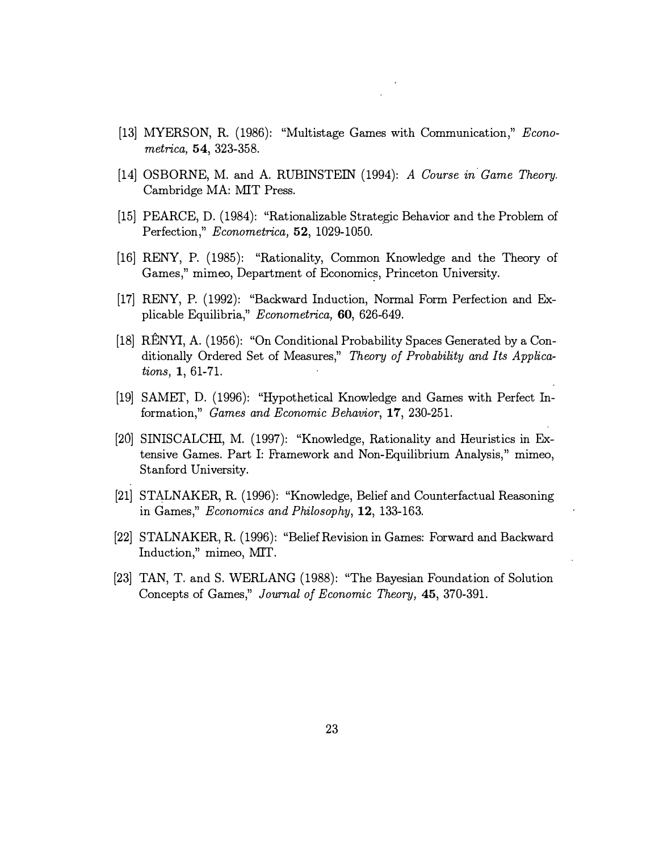- [13] MYERSON, R. (1986): "Multistage Games with Communication," Econometrica, 54, 323-358.
- [14] OSBORNE, M. and A. RUBINSTEIN (1994): A Course in Game Theory. Cambridge MA: MIT Press.
- [15] PEARCE, D. (1984): "Rationalizable Strategic Behavior and the Problem of Perfection," Econometrica, 52, 1029-1050.
- [16] RENY, P. (1985): "Rationality, Common Knowledge and the Theory of Games," mimeo, Department of Economics, Princeton University.
- [17] RENY, P. (1992): "Backward Induction, Normal Form Perfection and Explicable Equilibria," Econometrica, 60, 626-649.
- [18] RENYI, A. (1956): "On Conditional Probability Spaces Generated by a Conditionally Ordered Set of Measures," Theory of Probability and Its Applications, 1, 61-71.
- [19] SAMET, D. (1996): "Hypothetical Knowledge and Games with Perfect Information," Games and Economic Behavior, 17, 230-251.
- [20] SINISCALCHI, M. (1997): "Knowledge, Rationality and Heuristics in Extensive Games. Part I: Framework and Non-Equilibrium Analysis," mimeo, Stanford University.
- [21] STALNAKER, R. (1996): "Knowledge, Belief and Counterfactual Reasoning in Games," Economics and Philosophy, 12, 133-163.
- [22] STALNAKER, R. (1996): "Belief Revision in Games: Forward and Backward Induction," mimeo, MIT.
- [23] TAN, T. and S. WERLANG (1988): "The Bayesian Foundation of Solution Concepts of Games," Journal of Economic Theory, 45, 370-391.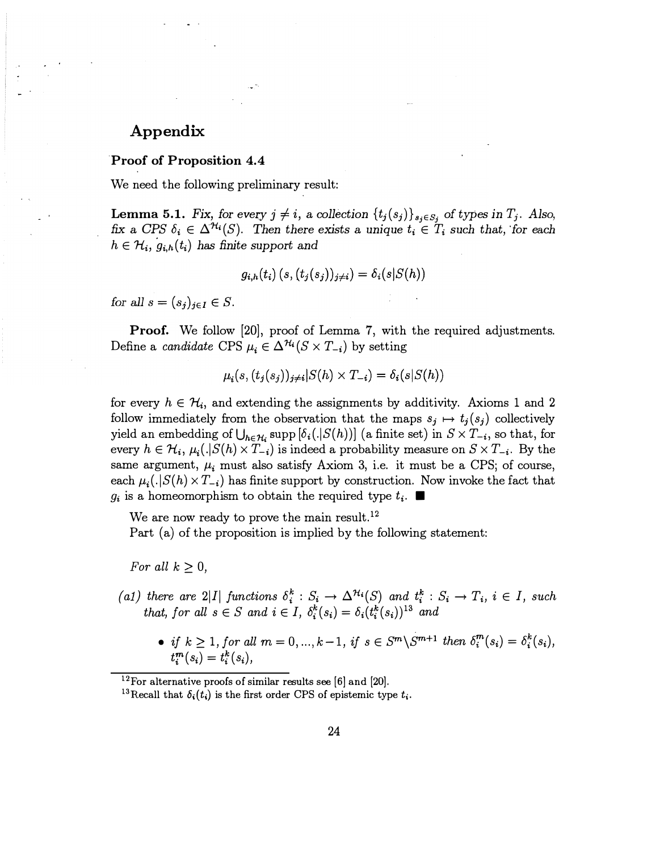## Appendix

#### Proof of Proposition 4.4

We need the following preliminary result:

**Lemma 5.1.** Fix, for every  $j \neq i$ , a collection  $\{t_j(s_j)\}_{s_j \in S_j}$  of types in  $T_j$ . Also, fix a CPS  $\delta_i \in \Delta^{\mathcal{H}_i}(S)$ . Then there exists a unique  $t_i \in T_i$  such that, for each  $h \in \mathcal{H}_i$ ,  $g_{i,h}(t_i)$  has finite support and

$$
g_{i,h}(t_i)\left(s,(t_j(s_j))_{j\neq i}\right)=\delta_i(s|S(h))
$$

for all  $s = (s_i)_{i \in I} \in S$ .

**Proof.** We follow [20], proof of Lemma 7, with the required adjustments. Define a *candidate* CPS  $\mu_i \in \Delta^{H_i}(S \times T_{-i})$  by setting

$$
\mu_i(s, (t_j(s_j))_{j\neq i}|S(h) \times T_{-i}) = \delta_i(s|S(h))
$$

for every  $h \in \mathcal{H}_i$ , and extending the assignments by additivity. Axioms 1 and 2 follow immediately from the observation that the maps  $s_j \mapsto t_j(s_j)$  collectively yield an embedding of  $\bigcup_{h \in \mathcal{H}_i} \text{supp} [\delta_i(.|S(h))]$  (a finite set) in  $S \times T_{-i}$ , so that, for every  $h \in \mathcal{H}_i$ ,  $\mu_i(.|S(h) \times T_{-i})$  is indeed a probability measure on  $S \times T_{-i}$ . By the same argument,  $\mu_i$  must also satisfy Axiom 3, i.e. it must be a CPS; of course, each  $\mu_i(.|S(h) \times T_{-i})$  has finite support by construction. Now invoke the fact that  $g_i$  is a homeomorphism to obtain the required type  $t_i$ .

We are now ready to prove the main result.<sup>12</sup>

Part (a) of the proposition is implied by the following statement:

For all  $k \geq 0$ ,

- (a1) there are 2|I| functions  $\delta_i^k : S_i \to \Delta^{H_i}(S)$  and  $t_i^k : S_i \to T_i$ ,  $i \in I$ , such that, for all  $s \in S$  and  $i \in I$ ,  $\delta_i^k(s_i) = \delta_i(t_i^k(s_i))^{13}$  and
	- if  $k \geq 1$ , for all  $m = 0, ..., k-1$ , if  $s \in S^m \backslash S^{m+1}$  then  $\delta_i^m(s_i) = \delta_i^k(s_i)$ ,  $t_i^m(s_i) = t_i^k(s_i),$

 $12$ For alternative proofs of similar results see [6] and [20].

<sup>&</sup>lt;sup>13</sup>Recall that  $\delta_i(t_i)$  is the first order CPS of epistemic type  $t_i$ .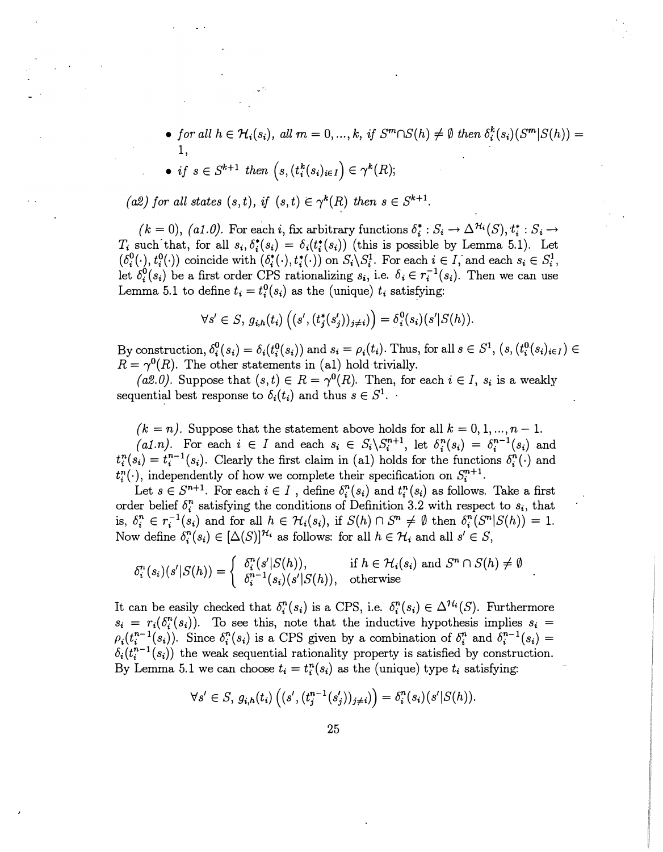• for all  $h \in \mathcal{H}_i(s_i)$ , all  $m = 0, ..., k$ , if  $S^m \cap S(h) \neq \emptyset$  then  $\delta_i^k(s_i)(S^m | S(h)) =$ 1,

• if 
$$
s \in S^{k+1}
$$
 then  $(s, (t_i^k(s_i)_{i \in I}) \in \gamma^k(R);$ 

(a2) for all states  $(s, t)$ , if  $(s, t) \in \gamma^{k}(R)$  then  $s \in S^{k+1}$ .

 $(k = 0)$ ,  $(a1.0)$ . For each i, fix arbitrary functions  $\delta_i^* : S_i \to \Delta^{H_i}(S), t_i^* : S_i \to t$  $T_i$  such that, for all  $s_i, \delta_i^*(s_i) = \delta_i(t_i^*(s_i))$  (this is possible by Lemma 5.1). Let  $(\delta_i^0(\cdot), t_i^0(\cdot))$  coincide with  $(\delta_i^*(\cdot), t_i^*(\cdot))$  on  $S_i \backslash S_i^1$ . For each  $i \in I$ , and each  $s_i \in S_i^1$ , let  $\delta_i^0(s_i)$  be a first order CPS rationalizing  $s_i$ , i.e.  $\delta_i \in r_i^{-1}(s_i)$ . Then we can use Lemma 5.1 to define  $t_i = t_i^0(s_i)$  as the (unique)  $t_i$  satisfying:

$$
\forall s' \in S, g_{i,h}(t_i) \left( (s', (t_j^*(s_j'))_{j \neq i}) \right) = \delta_i^0(s_i) (s'|S(h)).
$$

By construction,  $\delta_i^0(s_i) = \delta_i(t_i^0(s_i))$  and  $s_i = \rho_i(t_i)$ . Thus, for all  $s \in S^1$ ,  $(s, (t_i^0(s_i)_{i \in I}) \in I)$  $R = \gamma^{0}(R)$ . The other statements in (a1) hold trivially.

(a2.0). Suppose that  $(s, t) \in R = \gamma^{0}(R)$ . Then, for each  $i \in I$ ,  $s_i$  is a weakly sequential best response to  $\delta_i(t_i)$  and thus  $s \in S^1$ .

 $(k = n)$ . Suppose that the statement above holds for all  $k = 0, 1, ..., n - 1$ . (al.n). For each  $i \in I$  and each  $s_i \in S_i \backslash S_i^{n+1}$ , let  $\delta_i^n(s_i) = \delta_i^{n-1}(s_i)$  and  $t_i^n(s_i) = t_i^{n-1}(s_i)$ . Clearly the first claim in (a1) holds for the functions  $\delta_i^n(\cdot)$  and  $t_i^n(\cdot)$ , independently of how we complete their specification on  $S_i^{n+1}$ .

Let  $s \in S^{n+1}$ . For each  $i \in I$ , define  $\delta_i^n(s_i)$  and  $t_i^n(s_i)$  as follows. Take a first order belief  $\delta_i^n$  satisfying the conditions of Definition 3.2 with respect to  $s_i$ , that is,  $\delta_i^n \in r_i^{-1}(s_i)$  and for all  $h \in \mathcal{H}_i(s_i)$ , if  $S(h) \cap S^n \neq \emptyset$  then  $\delta_i^n(S^n|S(h)) = 1$ . Now define  $\delta_i^n(s_i) \in [\Delta(S)]^{\mathcal{H}_i}$  as follows: for all  $h \in \mathcal{H}_i$  and all  $s' \in S$ ,

$$
\delta_i^n(s_i)(s'|S(h)) = \begin{cases} \delta_i^n(s'|S(h)), & \text{if } h \in \mathcal{H}_i(s_i) \text{ and } S^n \cap S(h) \neq \emptyset \\ \delta_i^{n-1}(s_i)(s'|S(h)), & \text{otherwise} \end{cases}.
$$

It can be easily checked that  $\delta_i^n(s_i)$  is a CPS, i.e.  $\delta_i^n(s_i) \in \Delta^{H_i}(S)$ . Furthermore  $s_i = r_i(\delta_i^n(s_i))$ . To see this, note that the inductive hypothesis implies  $s_i =$  $\rho_i(t_i^{n-1}(s_i))$ . Since  $\delta_i^n(s_i)$  is a CPS given by a combination of  $\delta_i^n$  and  $\delta_i^{n-1}(s_i)$  =  $\delta_i(t_i^{n-1}(s_i))$  the weak sequential rationality property is satisfied by construction. By Lemma 5.1 we can choose  $t_i = t_i^n(s_i)$  as the (unique) type  $t_i$  satisfying:

$$
\forall s' \in S, g_{i,h}(t_i) \left( (s', (t_j^{n-1}(s'_j))_{j \neq i}) \right) = \delta_i^n(s_i) (s'|S(h)).
$$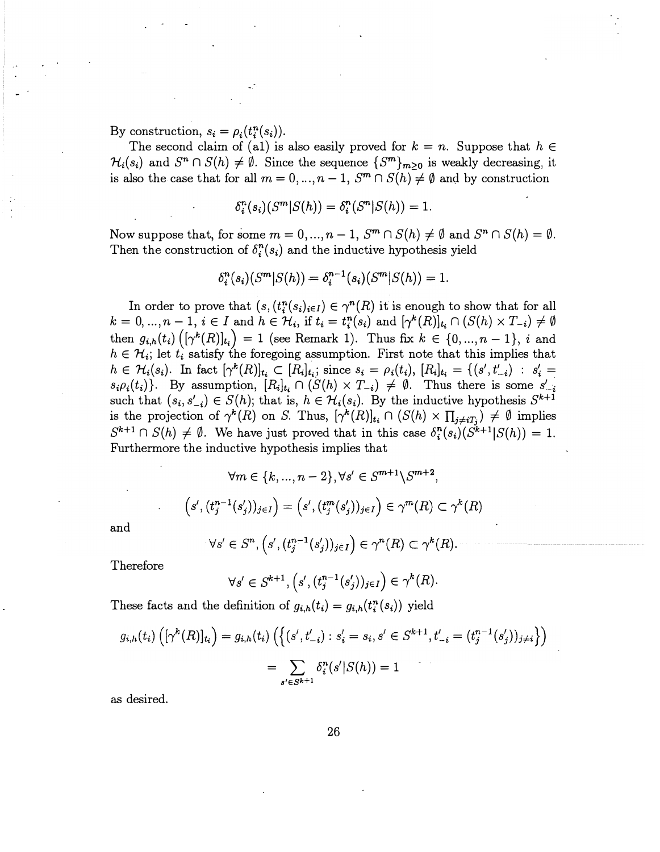By construction,  $s_i = \rho_i(t_i^n(s_i)).$ 

The second claim of (a1) is also easily proved for  $k = n$ . Suppose that  $h \in$  $\mathcal{H}_i(s_i)$  and  $S^n \cap S(h) \neq \emptyset$ . Since the sequence  $\{S^m\}_{m \geq 0}$  is weakly decreasing, it is also the case that for all  $m = 0, ..., n - 1$ ,  $S^m \cap S(h) \neq \emptyset$  and by construction

$$
\delta_i^n(s_i)(S^m|S(h)) = \delta_i^n(S^n|S(h)) = 1.
$$

Now suppose that, for some  $m = 0, ..., n - 1$ ,  $S^m \cap S(h) \neq \emptyset$  and  $S^n \cap S(h) = \emptyset$ . Then the construction of  $\delta_i^n(s_i)$  and the inductive hypothesis yield

$$
\delta_i^n(s_i)(S^m|S(h)) = \delta_i^{n-1}(s_i)(S^m|S(h)) = 1.
$$

In order to prove that  $(s, (t_i^n(s_i)_{i\in I}) \in \gamma^n(R)$  it is enough to show that for all  $k = 0, ..., n - 1, i \in I$  and  $h \in \mathcal{H}_i$ , if  $t_i = t_i^n(s_i)$  and  $[\gamma^k(R)]_{t_i} \cap (S(h) \times T_{-i}) \neq \emptyset$ then  $g_{i,h}(t_i) \left( [\gamma^k(R)]_{t_i} \right) = 1$  (see Remark 1). Thus fix  $k \in \{0, ..., n-1\}$ , i and  $h \in \mathcal{H}_i$ ; let  $t_i$  satisfy the foregoing assumption. First note that this implies that  $h \in \mathcal{H}_i(s_i)$ . In fact  $[\gamma^k(R)]_{t_i} \subset [R_i]_{t_i}$ ; since  $s_i = \rho_i(t_i)$ ,  $[R_i]_{t_i} = \{(s', t'_{-i}) : s'_i =$  $s_i \rho_i(t_i)$ . By assumption,  $[R_i]_{t_i} \cap (S(h) \times T_{-i}) \neq \emptyset$ . Thus there is some  $s'_{-i}$ such that  $(s_i, s'_{-i}) \in S(h)$ ; that is,  $h \in \mathcal{H}_i(s_i)$ . By the inductive hypothesis  $S^{k+1}$ is the projection of  $\gamma^k(R)$  on S. Thus,  $[\gamma^k(R)]_{t_i} \cap (S(h) \times \prod_{j \neq i} T_j) \neq \emptyset$  implies  $S^{k+1} \cap S(h) \neq \emptyset$ . We have just proved that in this case  $\delta_i^{n}(s_i)(S^{k+1}|S(h)) = 1$ . Furthermore the inductive hypothesis implies that

$$
\forall m \in \{k, ..., n-2\}, \forall s' \in S^{m+1} \setminus S^{m+2},
$$

$$
\left(s', (t_j^{n-1}(s'_j))_{j \in I}\right) = \left(s', (t_j^m(s'_j))_{j \in I}\right) \in \gamma^m(R) \subset \gamma^k(R)
$$

and

$$
\forall s' \in S^n, \left(s', (t_j^{n-1}(s'_j))_{j \in I}\right) \in \gamma^n(R) \subset \gamma^k(R).
$$

Therefore

$$
\forall s' \in S^{k+1}, \left(s', (t_j^{n-1}(s'_j))_{j \in I}\right) \in \gamma^k(R).
$$

These facts and the definition of  $g_{i,h}(t_i) = g_{i,h}(t_i^n(s_i))$  yield

$$
g_{i,h}(t_i) \left( [\gamma^k(R)]_{t_i} \right) = g_{i,h}(t_i) \left( \left\{ (s', t'_{-i}) : s'_i = s_i, s' \in S^{k+1}, t'_{-i} = (t_j^{n-1}(s'_j))_{j \neq i} \right\} \right)
$$

$$
= \sum_{s' \in S^{k+1}} \delta_i^n(s'|S(h)) = 1
$$

as desired.

26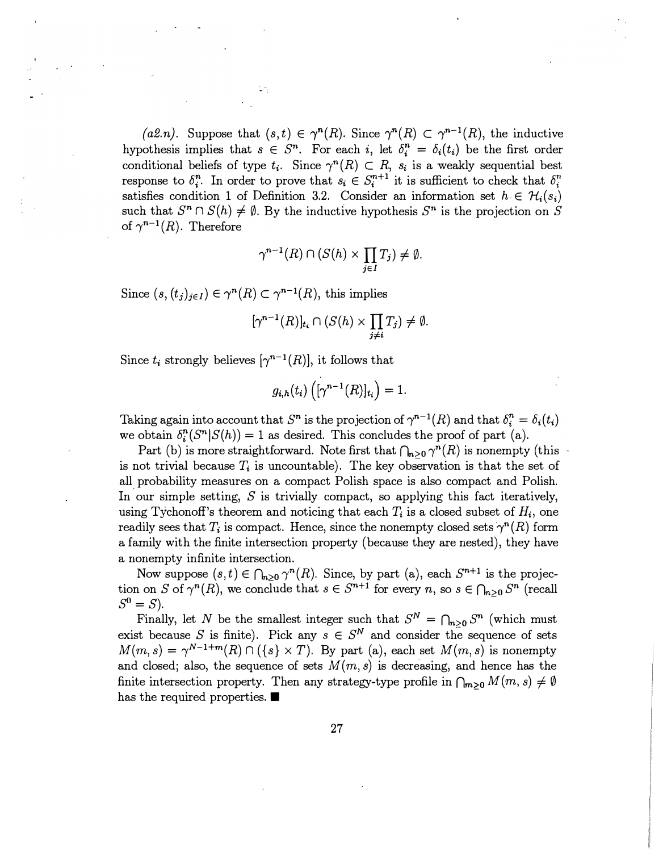(*a2.n*). Suppose that  $(s, t) \in \gamma^{n}(R)$ . Since  $\gamma^{n}(R) \subset \gamma^{n-1}(R)$ , the inductive hypothesis implies that  $s \in S^n$ . For each i, let  $\delta_i^n = \delta_i (t_i)$  be the first order conditional beliefs of type  $t_i$ . Since  $\gamma^n(R) \subset R$ ,  $s_i$  is a weakly sequential best response to  $\delta_i^n$ . In order to prove that  $s_i \in S_i^{n+1}$  it is sufficient to check that  $\delta_i^n$ . satisfies condition 1 of Definition 3.2. Consider an information set  $h \in \mathcal{H}_i(s_i)$ such that  $S^n \cap S(h) \neq \emptyset$ . By the inductive hypothesis  $S^n$  is the projection on S of  $\gamma^{n-1}(R)$ . Therefore

$$
\gamma^{n-1}(R) \cap (S(h) \times \prod_{j \in I} T_j) \neq \emptyset.
$$

Since  $(s, (t_j)_{j\in I}) \in \gamma^n(R) \subset \gamma^{n-1}(R)$ , this implies

$$
[\gamma^{n-1}(R)]_{t_i} \cap (S(h) \times \prod_{j \neq i} T_j) \neq \emptyset.
$$

Since  $t_i$  strongly believes  $[\gamma^{n-1}(R)]$ , it follows that

$$
g_{i,h}(t_i)\left([\gamma^{n-1}(R)]_{t_i}\right)=1.
$$

Taking again into account that  $S^n$  is the projection of  $\gamma^{n-1}(R)$  and that  $\delta_i^n = \delta_i (t_i)$ we obtain  $\delta_i^n(S^n|S(h)) = 1$  as desired. This concludes the proof of part (a).

Part (b) is more straightforward. Note first that  $\bigcap_{n\geq 0} \gamma^n(R)$  is nonempty (this is not trivial because  $T_i$  is uncountable). The key observation is that the set of all probability measures on a compact Polish space is also compact and Polish. In our simple setting,  $S$  is trivially compact, so applying this fact iteratively, using Tychonoff's theorem and noticing that each  $T_i$  is a closed subset of  $H_i$ , one readily sees that  $T_i$  is compact. Hence, since the nonempty closed sets  $\gamma^n(R)$  form a family with the finite intersection property (because they are nested), they have a nonempty infinite intersection.

Now suppose  $(s, t) \in \bigcap_{n\geq 0} \gamma^n(R)$ . Since, by part (a), each  $S^{n+1}$  is the projection on S of  $\gamma^{n}(R)$ , we conclude that  $s \in S^{n+1}$  for every n, so  $s \in \bigcap_{n\geq 0} S^n$  (recall  $S^0 = S$ ).

Finally, let N be the smallest integer such that  $S^N = \bigcap_{n \geq 0} S^n$  (which must<br>the sequence S is finite). Bight any  $c \in S^N$  and sensitive the sequence of sets exist because S is finite). Pick any  $s \in S^N$  and consider the sequence of sets  $M(m, s) = \gamma^{N-1+m}(R) \cap (\{s\} \times T)$ . By part (a), each set  $M(m, s)$  is nonempty and closed; also, the sequence of sets  $M(m, s)$  is decreasing, and hence has the finite intersection property. Then any strategy-type profile in  $\bigcap_{m\geq 0} M(m, s) \neq \emptyset$ has the required properties.  $\blacksquare$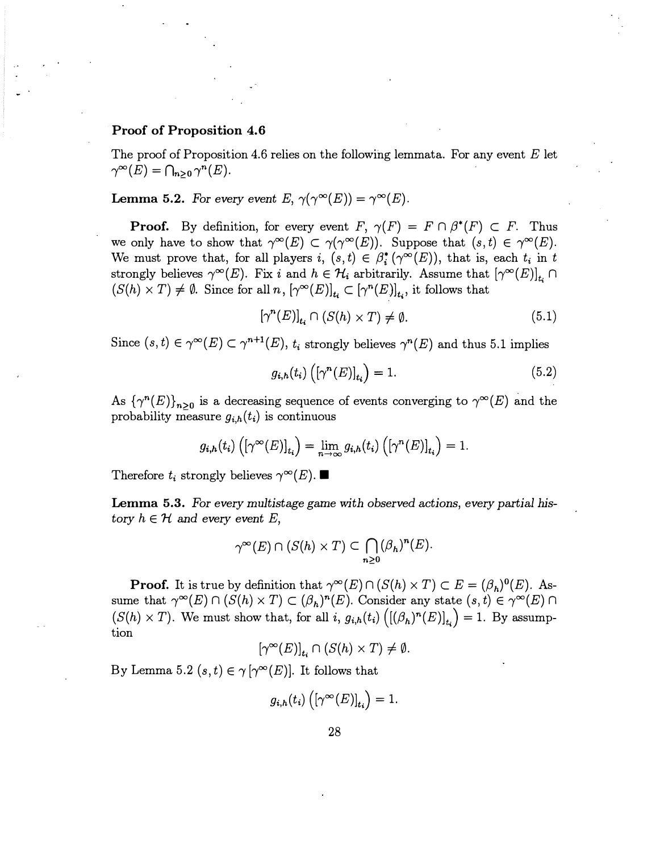#### Proof of Proposition 4.6

The proof of Proposition 4.6 relies on the following lemmata. For any event  $E$  let  $\gamma^{\infty}(E) = \bigcap_{n\geq 0} \gamma^n(E).$ 

**Lemma 5.2.** For every event E,  $\gamma(\gamma^{\infty}(E)) = \gamma^{\infty}(E)$ .

**Proof.** By definition, for every event  $F$ ,  $\gamma(F) = F \cap \beta^*(F) \subset F$ . Thus we only have to show that  $\gamma^{\infty}(E) \subset \gamma(\gamma^{\infty}(E))$ . Suppose that  $(s, t) \in \gamma^{\infty}(E)$ . We must prove that, for all players  $i, (s,t) \in \beta_i^*(\gamma^\infty(E))$ , that is, each  $t_i$  in t strongly believes  $\gamma^{\infty}(E)$ . Fix i and  $h \in \mathcal{H}_i$  arbitrarily. Assume that  $[\gamma^{\infty}(E)]_{t_i} \cap$  $(S(h) \times T) \neq \emptyset$ . Since for all  $n, [\gamma^{\infty}(E)]_{t_i} \subset [\gamma^n(E)]_{t_i}$ , it follows that

$$
[\gamma^n(E)]_{t_i} \cap (S(h) \times T) \neq \emptyset. \tag{5.1}
$$

Since  $(s, t) \in \gamma^{\infty}(E) \subset \gamma^{n+1}(E)$ ,  $t_i$  strongly believes  $\gamma^{n}(E)$  and thus 5.1 implies

$$
g_{i,h}(t_i) \left( \left[ \gamma^n(E) \right]_{t_i} \right) = 1. \tag{5.2}
$$

As  ${\{\gamma^{n}(E)\}}_{n\geq0}$  is a decreasing sequence of events converging to  $\gamma^{\infty}(E)$  and the probability measure  $q_{\gamma}(t)$  is continuous probability measure  $g_{i,h}(t_i)$  is continuous

$$
g_{i,h}(t_i)\left(\left[\gamma^{\infty}(E)\right]_{t_i}\right)=\lim_{n\to\infty}g_{i,h}(t_i)\left(\left[\gamma^n(E)\right]_{t_i}\right)=1.
$$

Therefore  $t_i$  strongly believes  $\gamma^{\infty}(E)$ .

Lemma 5.3. For every multistage game with observed actions, every partial history  $h \in \mathcal{H}$  and every event E,

$$
\gamma^{\infty}(E) \cap (S(h) \times T) \subset \bigcap_{n \geq 0} (\beta_h)^n(E).
$$

**Proof.** It is true by definition that  $\gamma^{\infty}(E) \cap (S(h) \times T) \subset E = (\beta_h)^0(E)$ . Assume that  $\gamma^{\infty}(E) \cap (S(h) \times T) \subset (\beta_h)^n(E)$ . Consider any state  $(s, t) \in \gamma^{\infty}(E) \cap$  $(S(h) \times T)$ . We must show that, for all i,  $g_{i,h}(t_i) ([(\beta_h)^n(E)]_{t_i}) = 1$ . By assumption

 $[\gamma^{\infty}(E)]_{t_i} \cap (S(h) \times T) \neq \emptyset.$ 

By Lemma 5.2  $(s, t) \in \gamma[\gamma^{\infty}(E)]$ . It follows that

$$
g_{i,h}(t_i)\left(\left[\gamma^{\infty}(E)\right]_{t_i}\right)=1.
$$